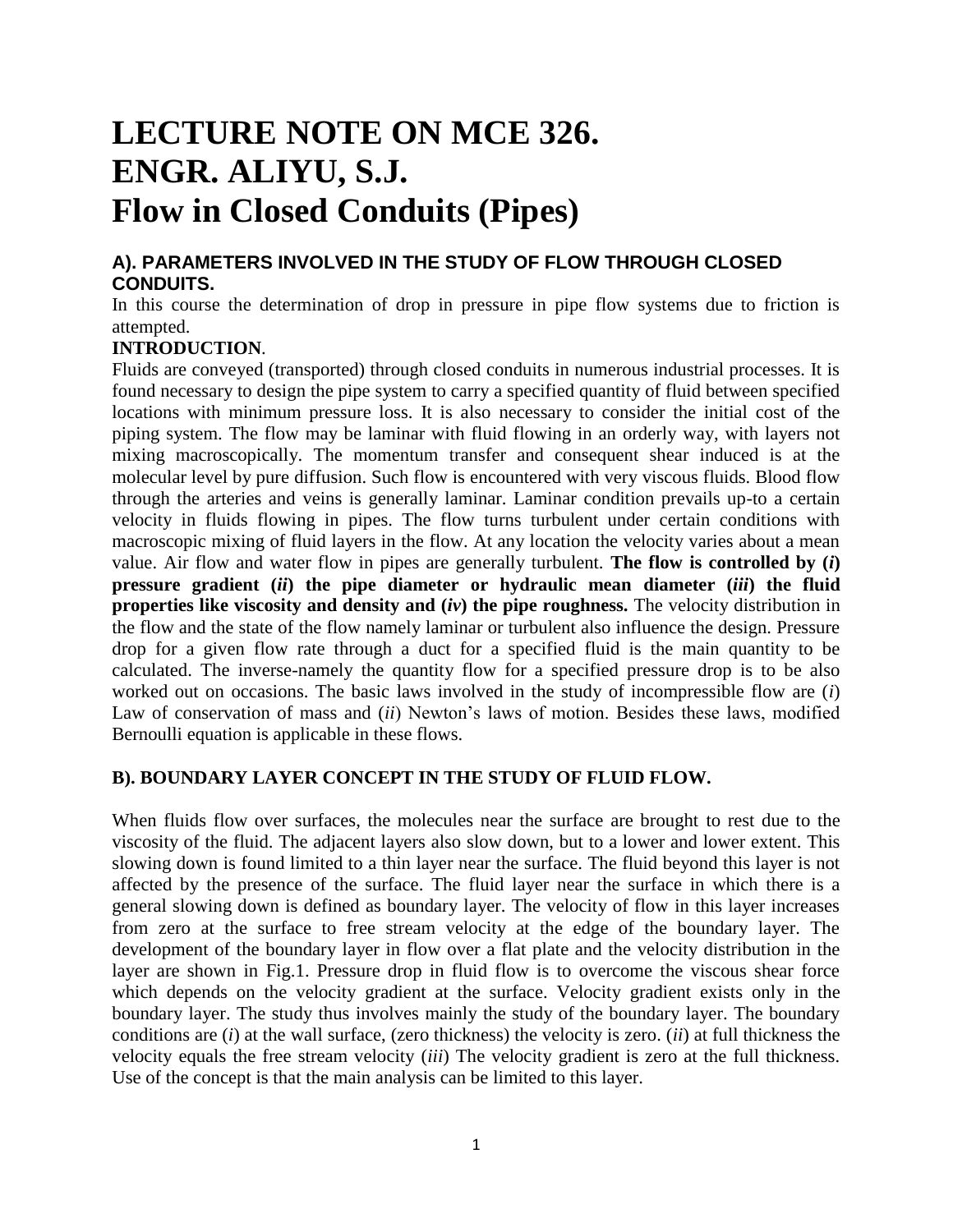# **LECTURE NOTE ON MCE 326. ENGR. ALIYU, S.J. Flow in Closed Conduits (Pipes)**

## **A). PARAMETERS INVOLVED IN THE STUDY OF FLOW THROUGH CLOSED CONDUITS.**

In this course the determination of drop in pressure in pipe flow systems due to friction is attempted.

## **INTRODUCTION**.

Fluids are conveyed (transported) through closed conduits in numerous industrial processes. It is found necessary to design the pipe system to carry a specified quantity of fluid between specified locations with minimum pressure loss. It is also necessary to consider the initial cost of the piping system. The flow may be laminar with fluid flowing in an orderly way, with layers not mixing macroscopically. The momentum transfer and consequent shear induced is at the molecular level by pure diffusion. Such flow is encountered with very viscous fluids. Blood flow through the arteries and veins is generally laminar. Laminar condition prevails up-to a certain velocity in fluids flowing in pipes. The flow turns turbulent under certain conditions with macroscopic mixing of fluid layers in the flow. At any location the velocity varies about a mean value. Air flow and water flow in pipes are generally turbulent. **The flow is controlled by**  $(i)$ **pressure gradient (***ii***) the pipe diameter or hydraulic mean diameter (***iii***) the fluid properties like viscosity and density and (***iv***) the pipe roughness.** The velocity distribution in the flow and the state of the flow namely laminar or turbulent also influence the design. Pressure drop for a given flow rate through a duct for a specified fluid is the main quantity to be calculated. The inverse-namely the quantity flow for a specified pressure drop is to be also worked out on occasions. The basic laws involved in the study of incompressible flow are (*i*) Law of conservation of mass and (*ii*) Newton's laws of motion. Besides these laws, modified Bernoulli equation is applicable in these flows.

## **B). BOUNDARY LAYER CONCEPT IN THE STUDY OF FLUID FLOW.**

When fluids flow over surfaces, the molecules near the surface are brought to rest due to the viscosity of the fluid. The adjacent layers also slow down, but to a lower and lower extent. This slowing down is found limited to a thin layer near the surface. The fluid beyond this layer is not affected by the presence of the surface. The fluid layer near the surface in which there is a general slowing down is defined as boundary layer. The velocity of flow in this layer increases from zero at the surface to free stream velocity at the edge of the boundary layer. The development of the boundary layer in flow over a flat plate and the velocity distribution in the layer are shown in Fig.1. Pressure drop in fluid flow is to overcome the viscous shear force which depends on the velocity gradient at the surface. Velocity gradient exists only in the boundary layer. The study thus involves mainly the study of the boundary layer. The boundary conditions are (*i*) at the wall surface, (zero thickness) the velocity is zero. (*ii*) at full thickness the velocity equals the free stream velocity (*iii*) The velocity gradient is zero at the full thickness. Use of the concept is that the main analysis can be limited to this layer.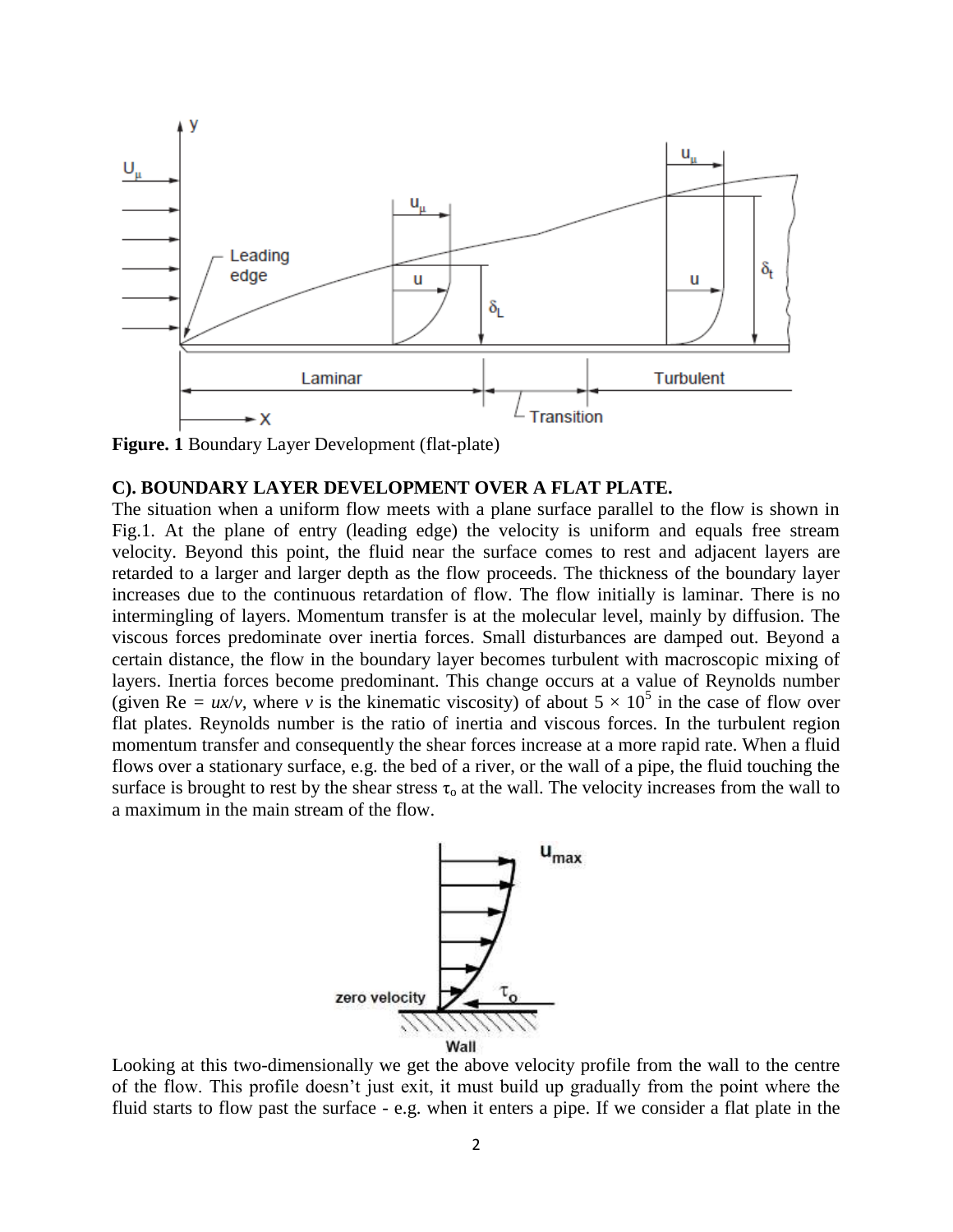

**Figure. 1** Boundary Layer Development (flat-plate)

## **C). BOUNDARY LAYER DEVELOPMENT OVER A FLAT PLATE.**

The situation when a uniform flow meets with a plane surface parallel to the flow is shown in Fig.1. At the plane of entry (leading edge) the velocity is uniform and equals free stream velocity. Beyond this point, the fluid near the surface comes to rest and adjacent layers are retarded to a larger and larger depth as the flow proceeds. The thickness of the boundary layer increases due to the continuous retardation of flow. The flow initially is laminar. There is no intermingling of layers. Momentum transfer is at the molecular level, mainly by diffusion. The viscous forces predominate over inertia forces. Small disturbances are damped out. Beyond a certain distance, the flow in the boundary layer becomes turbulent with macroscopic mixing of layers. Inertia forces become predominant. This change occurs at a value of Reynolds number (given Re =  $ux/v$ , where *v* is the kinematic viscosity) of about  $5 \times 10^5$  in the case of flow over flat plates. Reynolds number is the ratio of inertia and viscous forces. In the turbulent region momentum transfer and consequently the shear forces increase at a more rapid rate. When a fluid flows over a stationary surface, e.g. the bed of a river, or the wall of a pipe, the fluid touching the surface is brought to rest by the shear stress  $\tau_0$  at the wall. The velocity increases from the wall to a maximum in the main stream of the flow.



Looking at this two-dimensionally we get the above velocity profile from the wall to the centre of the flow. This profile doesn't just exit, it must build up gradually from the point where the fluid starts to flow past the surface - e.g. when it enters a pipe. If we consider a flat plate in the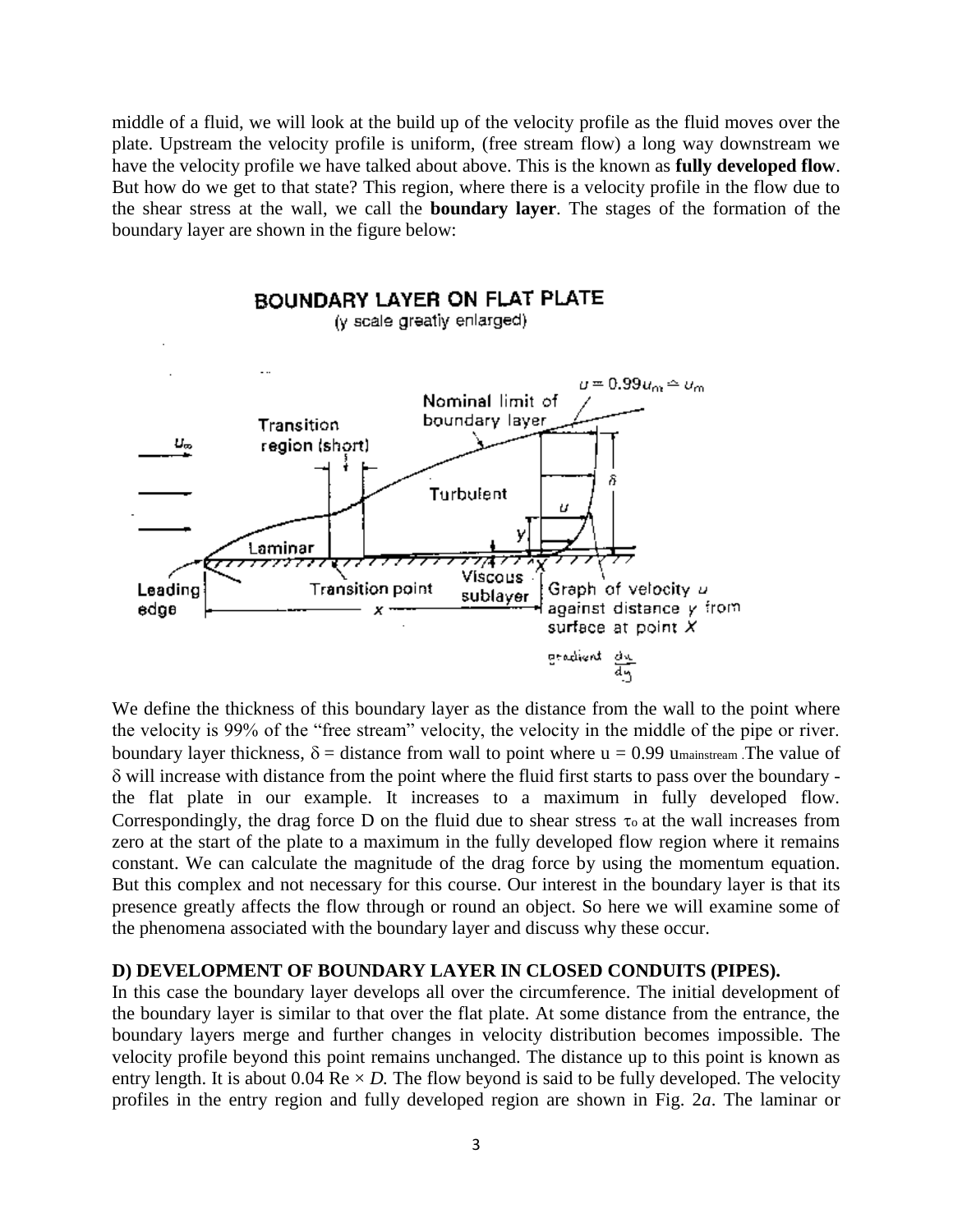middle of a fluid, we will look at the build up of the velocity profile as the fluid moves over the plate. Upstream the velocity profile is uniform, (free stream flow) a long way downstream we have the velocity profile we have talked about above. This is the known as **fully developed flow**. But how do we get to that state? This region, where there is a velocity profile in the flow due to the shear stress at the wall, we call the **boundary layer**. The stages of the formation of the boundary layer are shown in the figure below:



We define the thickness of this boundary layer as the distance from the wall to the point where the velocity is 99% of the "free stream" velocity, the velocity in the middle of the pipe or river. boundary layer thickness,  $\delta$  = distance from wall to point where u = 0.99 umainstream. The value of  $\delta$  will increase with distance from the point where the fluid first starts to pass over the boundary the flat plate in our example. It increases to a maximum in fully developed flow. Correspondingly, the drag force D on the fluid due to shear stress  $\tau_0$  at the wall increases from zero at the start of the plate to a maximum in the fully developed flow region where it remains constant. We can calculate the magnitude of the drag force by using the momentum equation. But this complex and not necessary for this course. Our interest in the boundary layer is that its presence greatly affects the flow through or round an object. So here we will examine some of the phenomena associated with the boundary layer and discuss why these occur.

#### **D) DEVELOPMENT OF BOUNDARY LAYER IN CLOSED CONDUITS (PIPES).**

In this case the boundary layer develops all over the circumference. The initial development of the boundary layer is similar to that over the flat plate. At some distance from the entrance, the boundary layers merge and further changes in velocity distribution becomes impossible. The velocity profile beyond this point remains unchanged. The distance up to this point is known as entry length. It is about  $0.04$  Re  $\times$  *D*. The flow beyond is said to be fully developed. The velocity profiles in the entry region and fully developed region are shown in Fig. 2*a*. The laminar or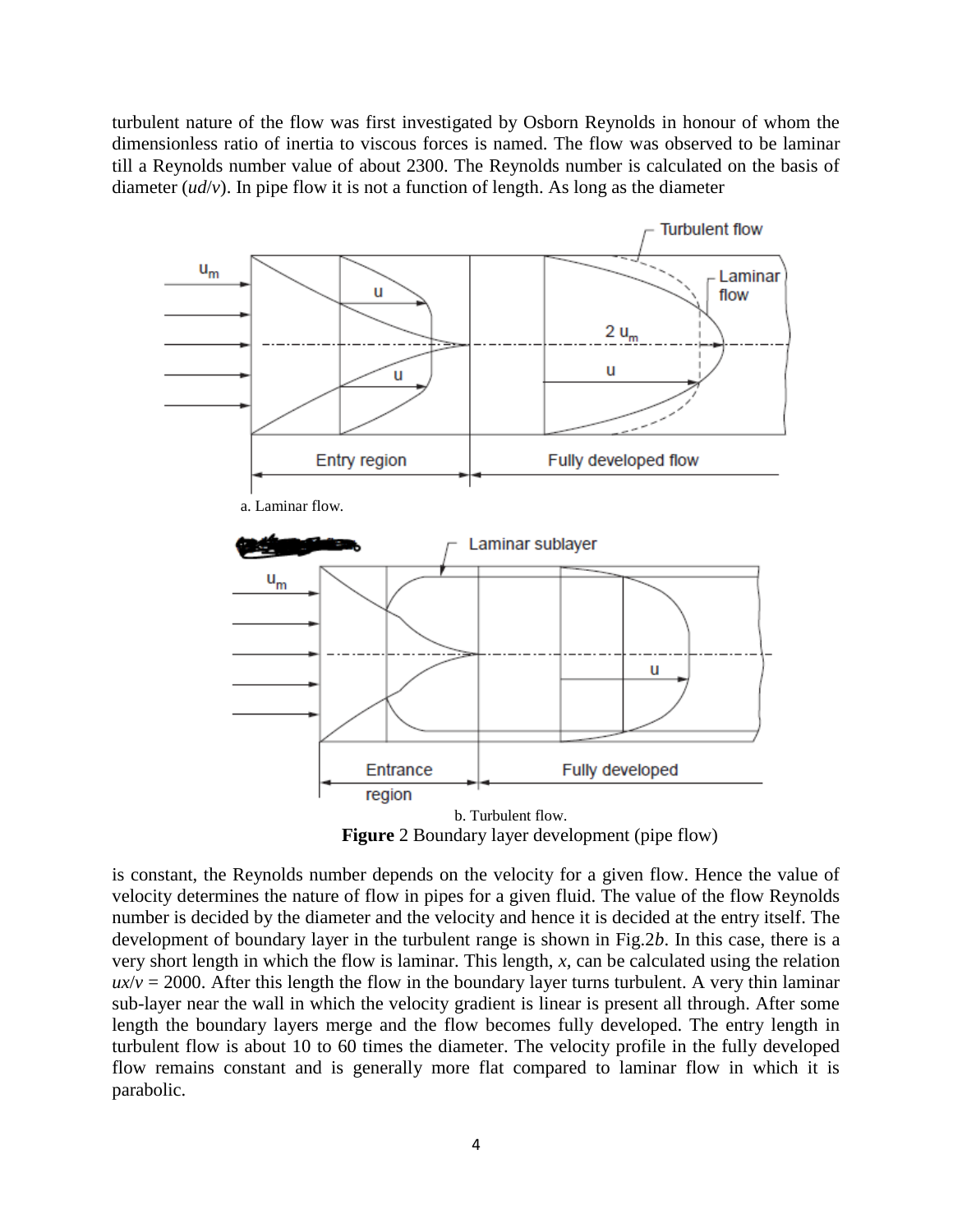turbulent nature of the flow was first investigated by Osborn Reynolds in honour of whom the dimensionless ratio of inertia to viscous forces is named. The flow was observed to be laminar till a Reynolds number value of about 2300. The Reynolds number is calculated on the basis of diameter (*ud*/*v*). In pipe flow it is not a function of length. As long as the diameter



**Figure** 2 Boundary layer development (pipe flow)

is constant, the Reynolds number depends on the velocity for a given flow. Hence the value of velocity determines the nature of flow in pipes for a given fluid. The value of the flow Reynolds number is decided by the diameter and the velocity and hence it is decided at the entry itself. The development of boundary layer in the turbulent range is shown in Fig.2*b*. In this case, there is a very short length in which the flow is laminar. This length, *x,* can be calculated using the relation  $ux/v = 2000$ . After this length the flow in the boundary layer turns turbulent. A very thin laminar sub-layer near the wall in which the velocity gradient is linear is present all through. After some length the boundary layers merge and the flow becomes fully developed. The entry length in turbulent flow is about 10 to 60 times the diameter. The velocity profile in the fully developed flow remains constant and is generally more flat compared to laminar flow in which it is parabolic.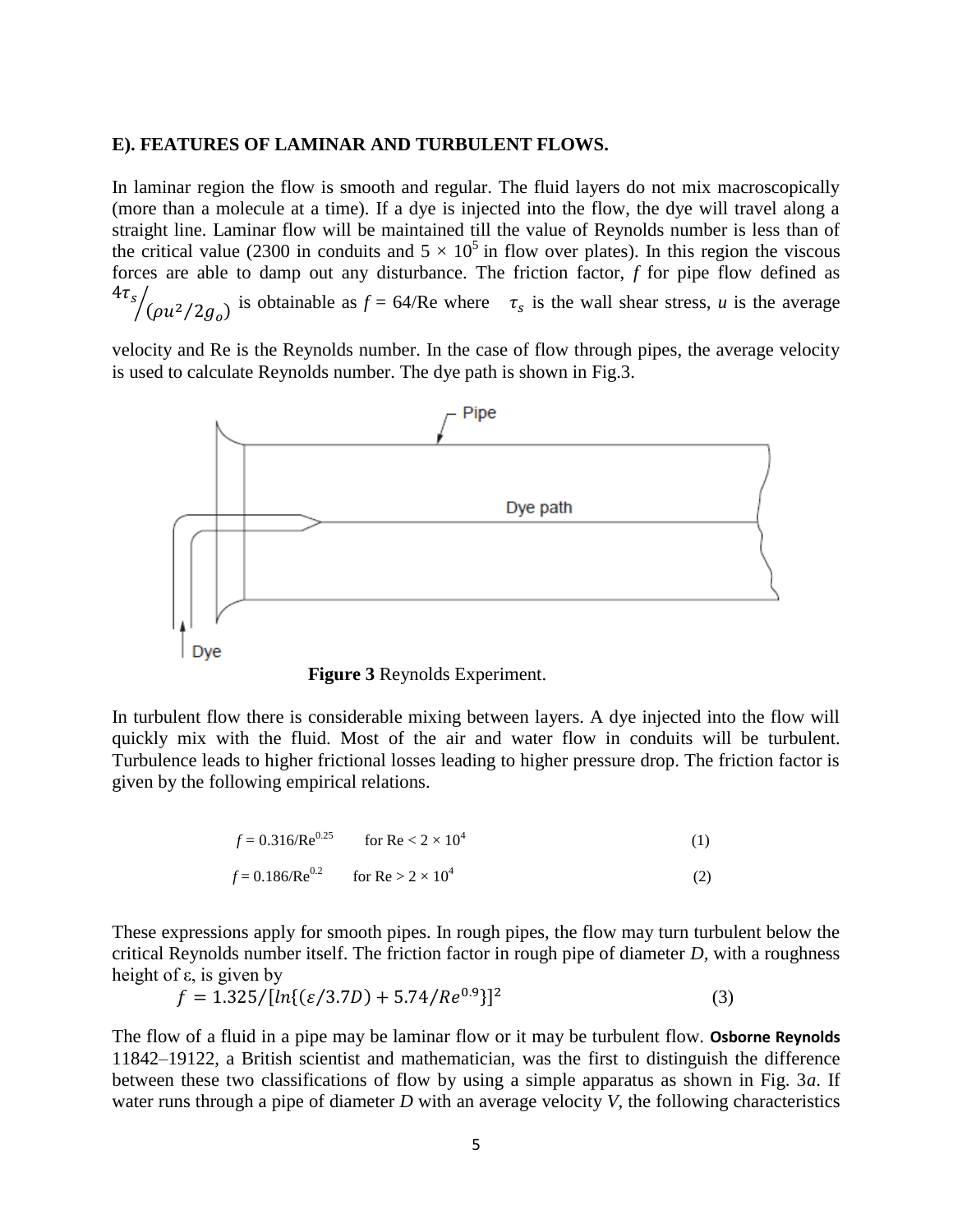#### **E). FEATURES OF LAMINAR AND TURBULENT FLOWS.**

In laminar region the flow is smooth and regular. The fluid layers do not mix macroscopically (more than a molecule at a time). If a dye is injected into the flow, the dye will travel along a straight line. Laminar flow will be maintained till the value of Reynolds number is less than of the critical value (2300 in conduits and  $5 \times 10^5$  in flow over plates). In this region the viscous forces are able to damp out any disturbance. The friction factor, *f* for pipe flow defined as  $\overline{4}$  $\int (\rho u^2/2g_0)$  is obtainable as  $f = 64$ /Re where  $\tau_s$  is the wall shear stress, *u* is the average

velocity and Re is the Reynolds number. In the case of flow through pipes, the average velocity is used to calculate Reynolds number. The dye path is shown in Fig.3.



 **Figure 3** Reynolds Experiment.

In turbulent flow there is considerable mixing between layers. A dye injected into the flow will quickly mix with the fluid. Most of the air and water flow in conduits will be turbulent. Turbulence leads to higher frictional losses leading to higher pressure drop. The friction factor is given by the following empirical relations.

$$
f = 0.316/\text{Re}^{0.25} \qquad \text{for } \text{Re} < 2 \times 10^4 \tag{1}
$$

$$
f = 0.186/\text{Re}^{0.2} \qquad \text{for } \text{Re} > 2 \times 10^4 \tag{2}
$$

These expressions apply for smooth pipes. In rough pipes, the flow may turn turbulent below the critical Reynolds number itself. The friction factor in rough pipe of diameter *D,* with a roughness height of ε, is given by

$$
f = 1.325 / [ln\{(\varepsilon/3.7D) + 5.74 / Re^{0.9}\}]^2
$$
 (3)

The flow of a fluid in a pipe may be laminar flow or it may be turbulent flow. **Osborne Reynolds** 11842–19122, a British scientist and mathematician, was the first to distinguish the difference between these two classifications of flow by using a simple apparatus as shown in Fig. 3*a*. If water runs through a pipe of diameter *D* with an average velocity *V*, the following characteristics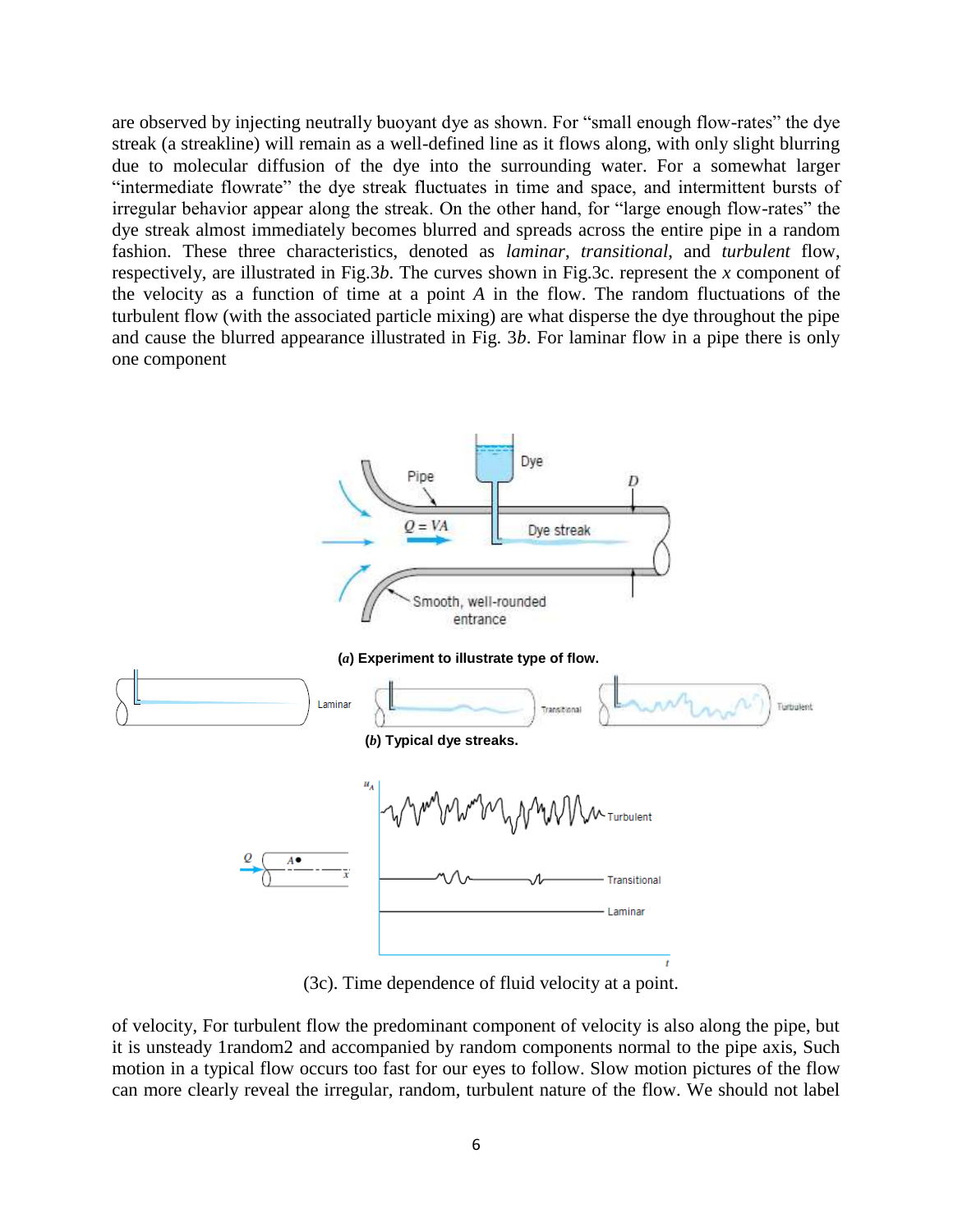are observed by injecting neutrally buoyant dye as shown. For "small enough flow-rates" the dye streak (a streakline) will remain as a well-defined line as it flows along, with only slight blurring due to molecular diffusion of the dye into the surrounding water. For a somewhat larger "intermediate flowrate" the dye streak fluctuates in time and space, and intermittent bursts of irregular behavior appear along the streak. On the other hand, for "large enough flow-rates" the dye streak almost immediately becomes blurred and spreads across the entire pipe in a random fashion. These three characteristics, denoted as *laminar*, *transitional*, and *turbulent* flow, respectively, are illustrated in Fig.3*b*. The curves shown in Fig.3c. represent the *x* component of the velocity as a function of time at a point *A* in the flow. The random fluctuations of the turbulent flow (with the associated particle mixing) are what disperse the dye throughout the pipe and cause the blurred appearance illustrated in Fig. 3*b*. For laminar flow in a pipe there is only one component



(3c). Time dependence of fluid velocity at a point.

of velocity, For turbulent flow the predominant component of velocity is also along the pipe, but it is unsteady 1random2 and accompanied by random components normal to the pipe axis, Such motion in a typical flow occurs too fast for our eyes to follow. Slow motion pictures of the flow can more clearly reveal the irregular, random, turbulent nature of the flow. We should not label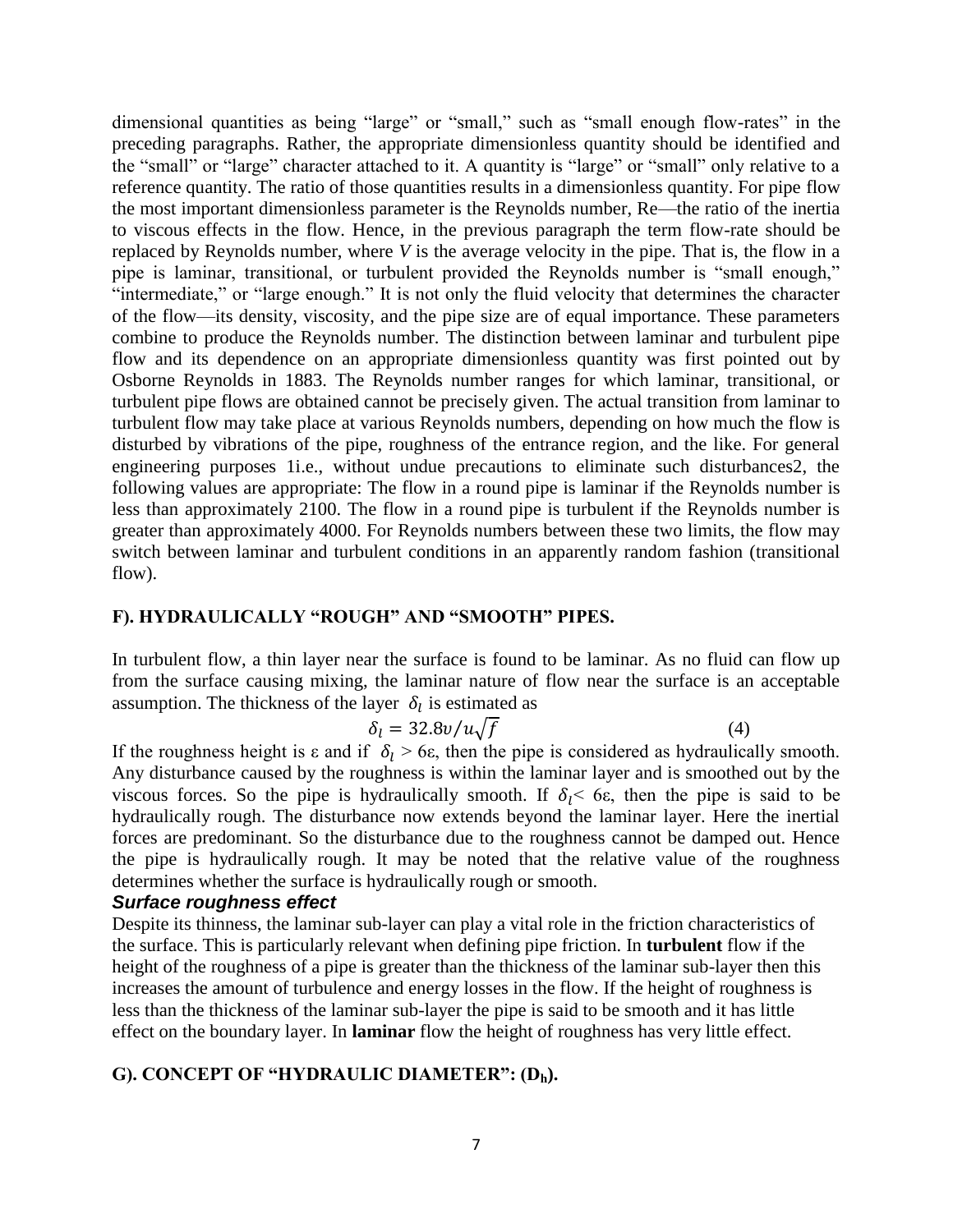dimensional quantities as being "large" or "small," such as "small enough flow-rates" in the preceding paragraphs. Rather, the appropriate dimensionless quantity should be identified and the "small" or "large" character attached to it. A quantity is "large" or "small" only relative to a reference quantity. The ratio of those quantities results in a dimensionless quantity. For pipe flow the most important dimensionless parameter is the Reynolds number, Re—the ratio of the inertia to viscous effects in the flow. Hence, in the previous paragraph the term flow-rate should be replaced by Reynolds number, where *V* is the average velocity in the pipe. That is, the flow in a pipe is laminar, transitional, or turbulent provided the Reynolds number is "small enough," "intermediate," or "large enough." It is not only the fluid velocity that determines the character of the flow—its density, viscosity, and the pipe size are of equal importance. These parameters combine to produce the Reynolds number. The distinction between laminar and turbulent pipe flow and its dependence on an appropriate dimensionless quantity was first pointed out by Osborne Reynolds in 1883. The Reynolds number ranges for which laminar, transitional, or turbulent pipe flows are obtained cannot be precisely given. The actual transition from laminar to turbulent flow may take place at various Reynolds numbers, depending on how much the flow is disturbed by vibrations of the pipe, roughness of the entrance region, and the like. For general engineering purposes 1i.e., without undue precautions to eliminate such disturbances2, the following values are appropriate: The flow in a round pipe is laminar if the Reynolds number is less than approximately 2100. The flow in a round pipe is turbulent if the Reynolds number is greater than approximately 4000. For Reynolds numbers between these two limits, the flow may switch between laminar and turbulent conditions in an apparently random fashion (transitional flow).

### **F). HYDRAULICALLY "ROUGH" AND "SMOOTH" PIPES.**

In turbulent flow, a thin layer near the surface is found to be laminar. As no fluid can flow up from the surface causing mixing, the laminar nature of flow near the surface is an acceptable assumption. The thickness of the layer  $\delta_l$  is estimated as

$$
\delta_l = 32.8 \nu / u \sqrt{f} \tag{4}
$$

If the roughness height is  $\varepsilon$  and if  $\delta_l > 6\varepsilon$ , then the pipe is considered as hydraulically smooth. Any disturbance caused by the roughness is within the laminar layer and is smoothed out by the viscous forces. So the pipe is hydraulically smooth. If  $\delta_1$   $\epsilon$  6 $\epsilon$ , then the pipe is said to be hydraulically rough. The disturbance now extends beyond the laminar layer. Here the inertial forces are predominant. So the disturbance due to the roughness cannot be damped out. Hence the pipe is hydraulically rough. It may be noted that the relative value of the roughness determines whether the surface is hydraulically rough or smooth.

#### *Surface roughness effect*

Despite its thinness, the laminar sub-layer can play a vital role in the friction characteristics of the surface. This is particularly relevant when defining pipe friction. In **turbulent** flow if the height of the roughness of a pipe is greater than the thickness of the laminar sub-layer then this increases the amount of turbulence and energy losses in the flow. If the height of roughness is less than the thickness of the laminar sub-layer the pipe is said to be smooth and it has little effect on the boundary layer. In **laminar** flow the height of roughness has very little effect.

#### **G). CONCEPT OF "HYDRAULIC DIAMETER": (Dh).**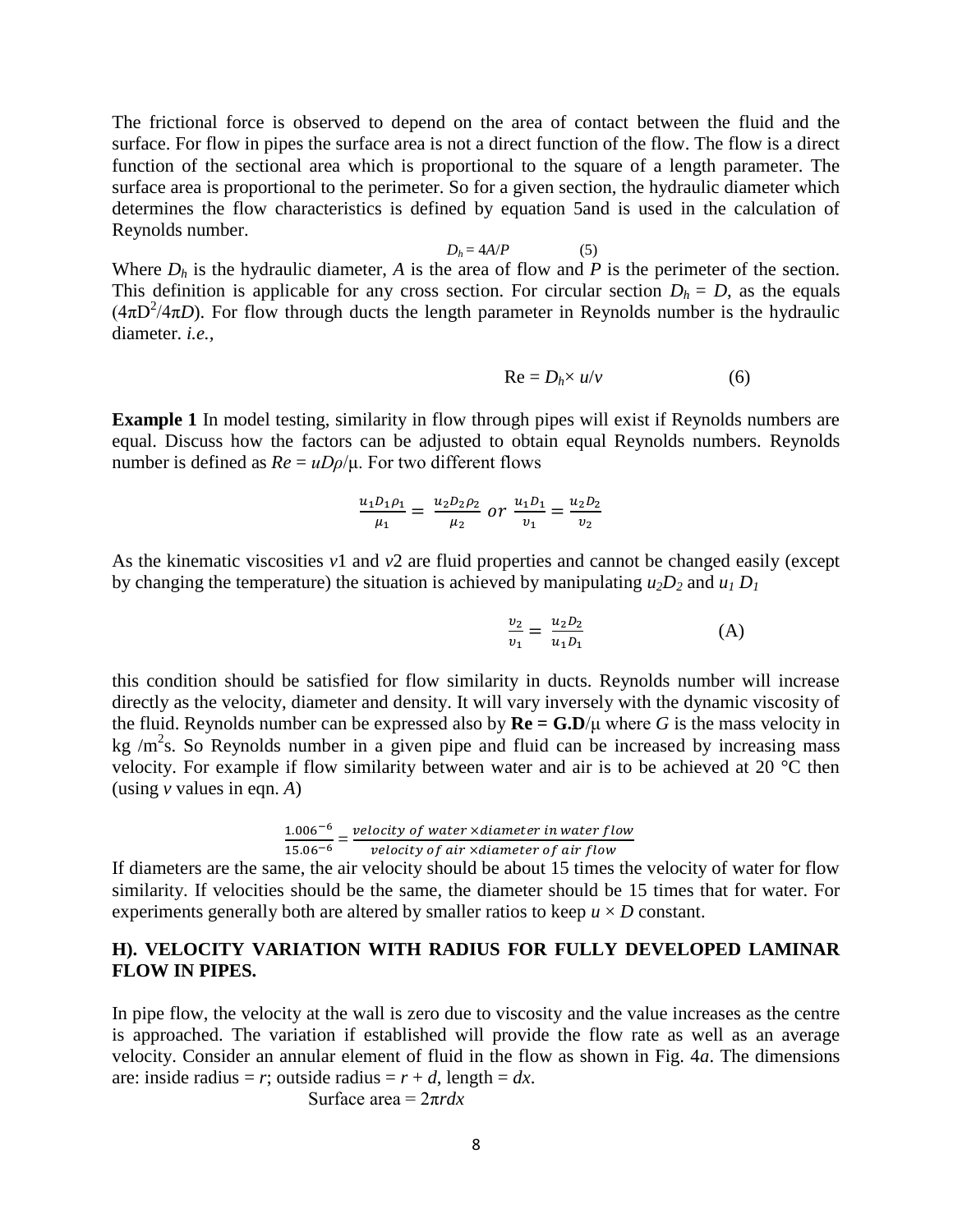The frictional force is observed to depend on the area of contact between the fluid and the surface. For flow in pipes the surface area is not a direct function of the flow. The flow is a direct function of the sectional area which is proportional to the square of a length parameter. The surface area is proportional to the perimeter. So for a given section, the hydraulic diameter which determines the flow characteristics is defined by equation 5and is used in the calculation of Reynolds number.

$$
D_h = 4A/P \tag{5}
$$

Where  $D_h$  is the hydraulic diameter, A is the area of flow and P is the perimeter of the section. This definition is applicable for any cross section. For circular section  $D_h = D$ , as the equals  $(4\pi D^2/4\pi D)$ . For flow through ducts the length parameter in Reynolds number is the hydraulic diameter. *i.e.,*

$$
\text{Re} = D_h \times u/v \tag{6}
$$

**Example 1** In model testing, similarity in flow through pipes will exist if Reynolds numbers are equal. Discuss how the factors can be adjusted to obtain equal Reynolds numbers. Reynolds number is defined as  $Re = uD\rho/\mu$ . For two different flows

$$
\frac{u_1 D_1 \rho_1}{\mu_1} = \frac{u_2 D_2 \rho_2}{\mu_2} \text{ or } \frac{u_1 D_1}{v_1} = \frac{u_2 D_2}{v_2}
$$

As the kinematic viscosities *v*1 and *v*2 are fluid properties and cannot be changed easily (except by changing the temperature) the situation is achieved by manipulating  $u_2D_2$  and  $u_1D_1$ 

$$
\frac{v_2}{v_1} = \frac{u_2 D_2}{u_1 D_1} \tag{A}
$$

this condition should be satisfied for flow similarity in ducts. Reynolds number will increase directly as the velocity, diameter and density. It will vary inversely with the dynamic viscosity of the fluid. Reynolds number can be expressed also by  $\mathbf{Re} = \mathbf{G} \cdot \mathbf{D}/\mu$  where *G* is the mass velocity in kg  $/m^2$ s. So Reynolds number in a given pipe and fluid can be increased by increasing mass velocity. For example if flow similarity between water and air is to be achieved at 20 °C then (using *v* values in eqn. *A*)

> $\mathbf 1$  $\frac{1.006^{-6}}{15.06^{-6}} = \frac{v}{ }$  $\boldsymbol{\mathcal{v}}$

If diameters are the same, the air velocity should be about 15 times the velocity of water for flow similarity. If velocities should be the same, the diameter should be 15 times that for water. For experiments generally both are altered by smaller ratios to keep  $u \times D$  constant.

## **H). VELOCITY VARIATION WITH RADIUS FOR FULLY DEVELOPED LAMINAR FLOW IN PIPES.**

In pipe flow, the velocity at the wall is zero due to viscosity and the value increases as the centre is approached. The variation if established will provide the flow rate as well as an average velocity. Consider an annular element of fluid in the flow as shown in Fig. 4*a*. The dimensions are: inside radius = *r*; outside radius =  $r + d$ , length = *dx*.

Surface area = 2π*rdx*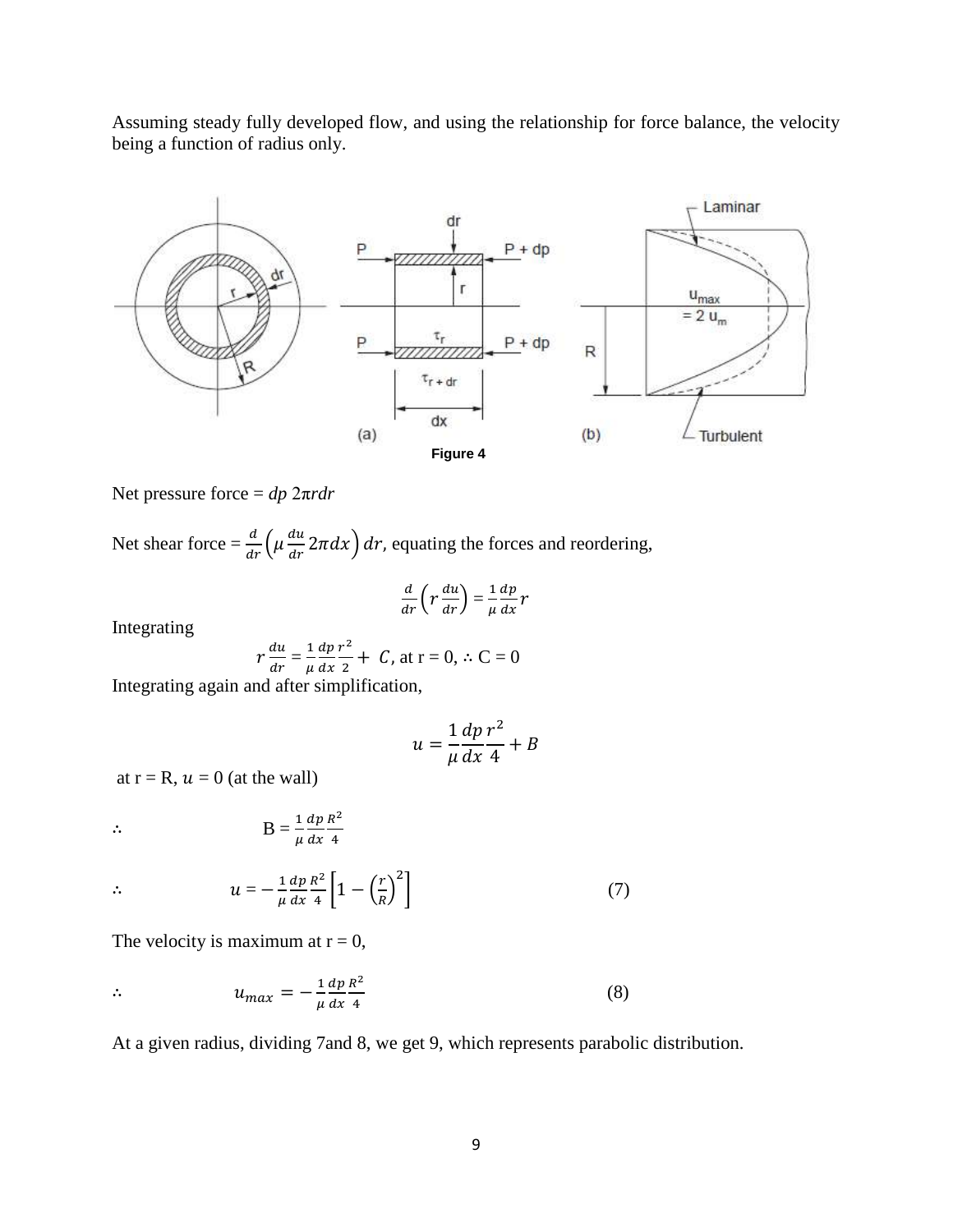Assuming steady fully developed flow, and using the relationship for force balance, the velocity being a function of radius only.



Net pressure force = *dp* 2π*rdr*

Net shear force  $=$   $\frac{d}{dr} \left( \mu \frac{d}{dt} \right)$  $\frac{du}{dr}$  2 $\pi dx$  d  $dr$ , equating the forces and reordering,

$$
\frac{d}{dr}\left(r\,\frac{du}{dr}\right) = \frac{1}{\mu}\frac{dp}{dx}\,r
$$

Integrating

$$
r\frac{du}{dr} = \frac{1}{\mu} \frac{dp}{dx} \frac{r^2}{2} + C, \text{ at } r = 0, \therefore C = 0
$$

Integrating again and after simplification,

$$
u = \frac{1}{\mu} \frac{dp}{dx} \frac{r^2}{4} + B
$$

at  $r = R$ ,  $u = 0$  (at the wall)

$$
\therefore \qquad \qquad \mathbf{B} = \frac{1}{\mu} \frac{dp}{dx}
$$

$$
\therefore \qquad u = -\frac{1}{\mu} \frac{dp}{dx} \frac{R^2}{4} \left[ 1 - \left(\frac{r}{R}\right)^2 \right] \tag{7}
$$

 $R^2$ 4

The velocity is maximum at  $r = 0$ ,

$$
\therefore \qquad u_{max} = -\frac{1}{\mu} \frac{dp}{dx} \frac{R^2}{4} \tag{8}
$$

At a given radius, dividing 7and 8, we get 9, which represents parabolic distribution.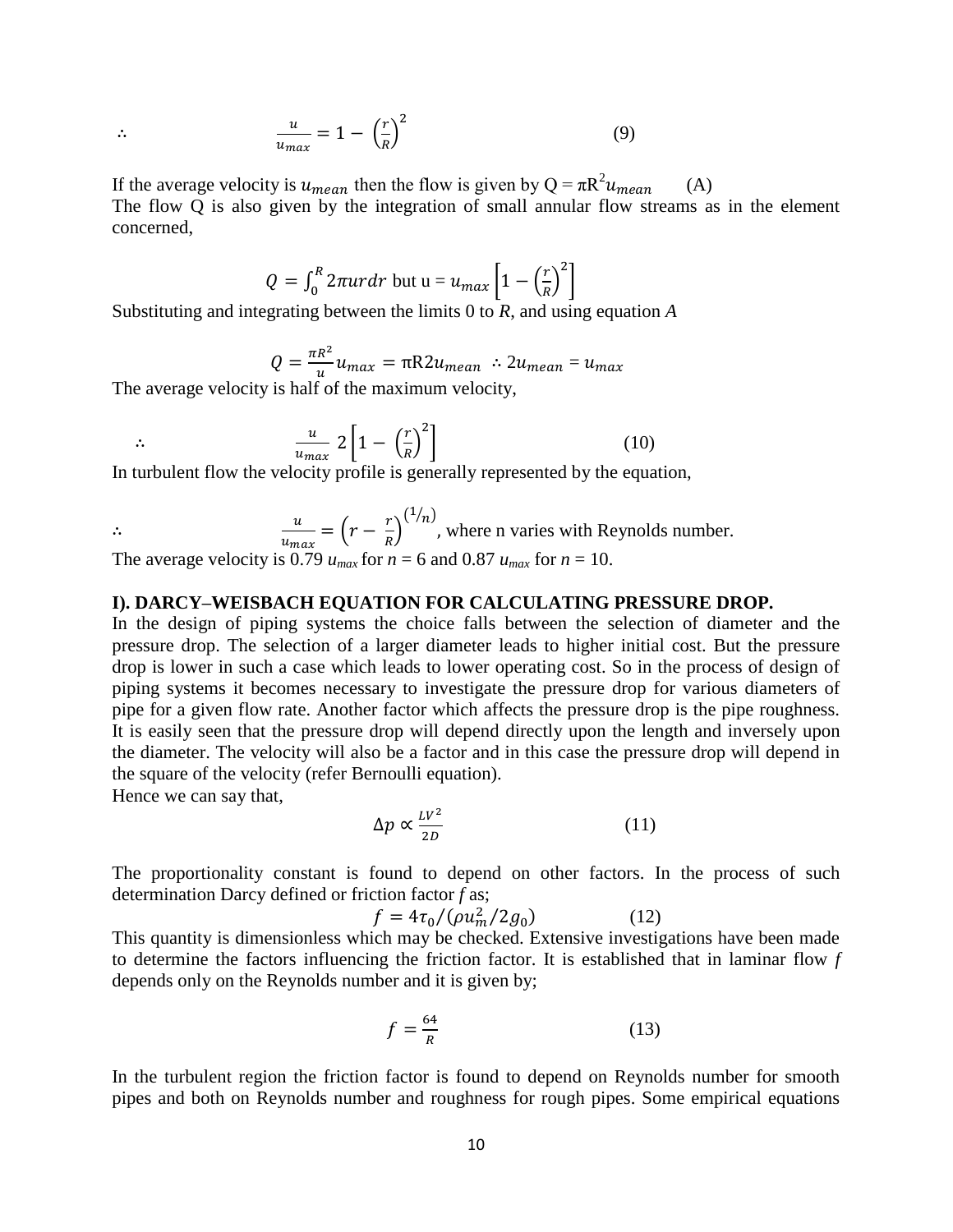$$
\frac{u}{u_{max}} = 1 - \left(\frac{r}{R}\right)^2 \tag{9}
$$

If the average velocity is  $u_{mean}$  then the flow is given by  $Q = \pi R^2 u_{mean}$  (A) The flow Q is also given by the integration of small annular flow streams as in the element concerned,

$$
Q = \int_0^R 2\pi u r dr
$$
 but  $u = u_{max} \left[ 1 - \left(\frac{r}{R}\right)^2 \right]$ 

Substituting and integrating between the limits 0 to *R*, and using equation *A*

$$
Q = \frac{\pi R^2}{u} u_{max} = \pi R 2 u_{mean} \therefore 2 u_{mean} = u_{max}
$$
  
is half of the maximum velocity

The average velocity is half of the maximum velocity,

$$
\frac{u}{u_{max}} 2\left[1 - \left(\frac{r}{R}\right)^2\right]
$$
 (10)

In turbulent flow the velocity profile is generally represented by the equation,

$$
\therefore \frac{u}{u_{max}} = \left(r - \frac{r}{R}\right)^{(1/n)}, \text{ where n varies with Reynolds number.}
$$
  
The average velocity is 0.79  $u$  for  $n = 6$  and 0.87  $u$  for  $n = 10$ 

The average velocity is 0.79  $u_{max}$  for  $n = 6$  and 0.87  $u_{max}$  for  $n = 10$ .

### **I). DARCY–WEISBACH EQUATION FOR CALCULATING PRESSURE DROP.**

In the design of piping systems the choice falls between the selection of diameter and the pressure drop. The selection of a larger diameter leads to higher initial cost. But the pressure drop is lower in such a case which leads to lower operating cost. So in the process of design of piping systems it becomes necessary to investigate the pressure drop for various diameters of pipe for a given flow rate. Another factor which affects the pressure drop is the pipe roughness. It is easily seen that the pressure drop will depend directly upon the length and inversely upon the diameter. The velocity will also be a factor and in this case the pressure drop will depend in the square of the velocity (refer Bernoulli equation).

Hence we can say that,

 $\ddot{\cdot}$ 

 $\ddot{\cdot}$ 

$$
\Delta p \propto \frac{L V^2}{2D} \tag{11}
$$

The proportionality constant is found to depend on other factors. In the process of such determination Darcy defined or friction factor *f* as;

 $/(\rho u_m^2/2g_0)$  (12)

This quantity is dimensionless which may be checked. Extensive investigations have been made to determine the factors influencing the friction factor. It is established that in laminar flow *f*  depends only on the Reynolds number and it is given by;

$$
f = \frac{64}{R} \tag{13}
$$

In the turbulent region the friction factor is found to depend on Reynolds number for smooth pipes and both on Reynolds number and roughness for rough pipes. Some empirical equations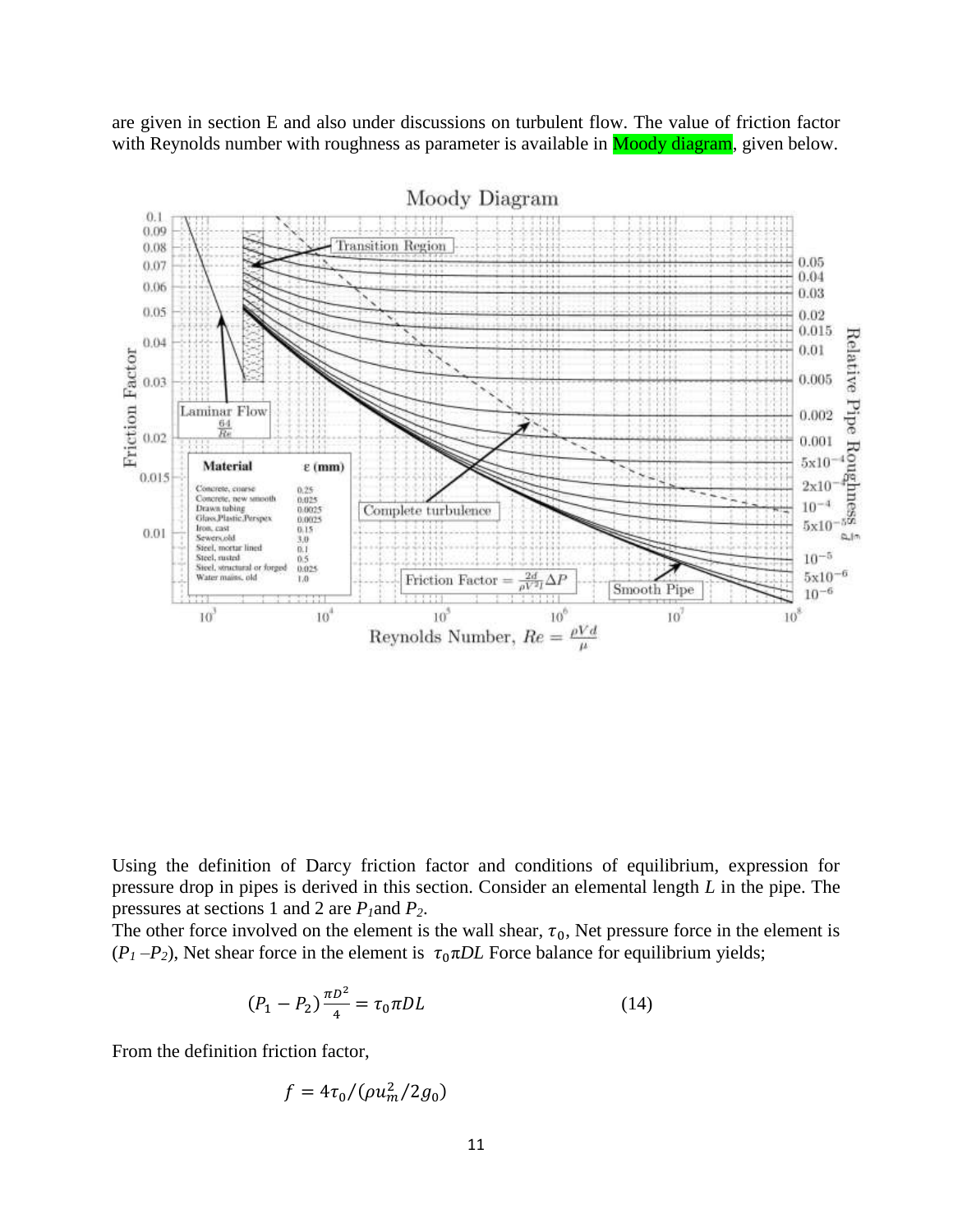are given in section E and also under discussions on turbulent flow. The value of friction factor with Reynolds number with roughness as parameter is available in **Moody diagram**, given below.



Using the definition of Darcy friction factor and conditions of equilibrium, expression for pressure drop in pipes is derived in this section. Consider an elemental length *L* in the pipe. The pressures at sections 1 and 2 are *P1*and *P2*.

The other force involved on the element is the wall shear,  $\tau_0$ , Net pressure force in the element is  $(P_1-P_2)$ , Net shear force in the element is  $\tau_0 \pi DL$  Force balance for equilibrium yields;

$$
(P_1 - P_2) \frac{\pi D^2}{4} = \tau_0 \pi D L \tag{14}
$$

From the definition friction factor,

$$
f=4\tau_0/(\rho u_m^2/2g_0)
$$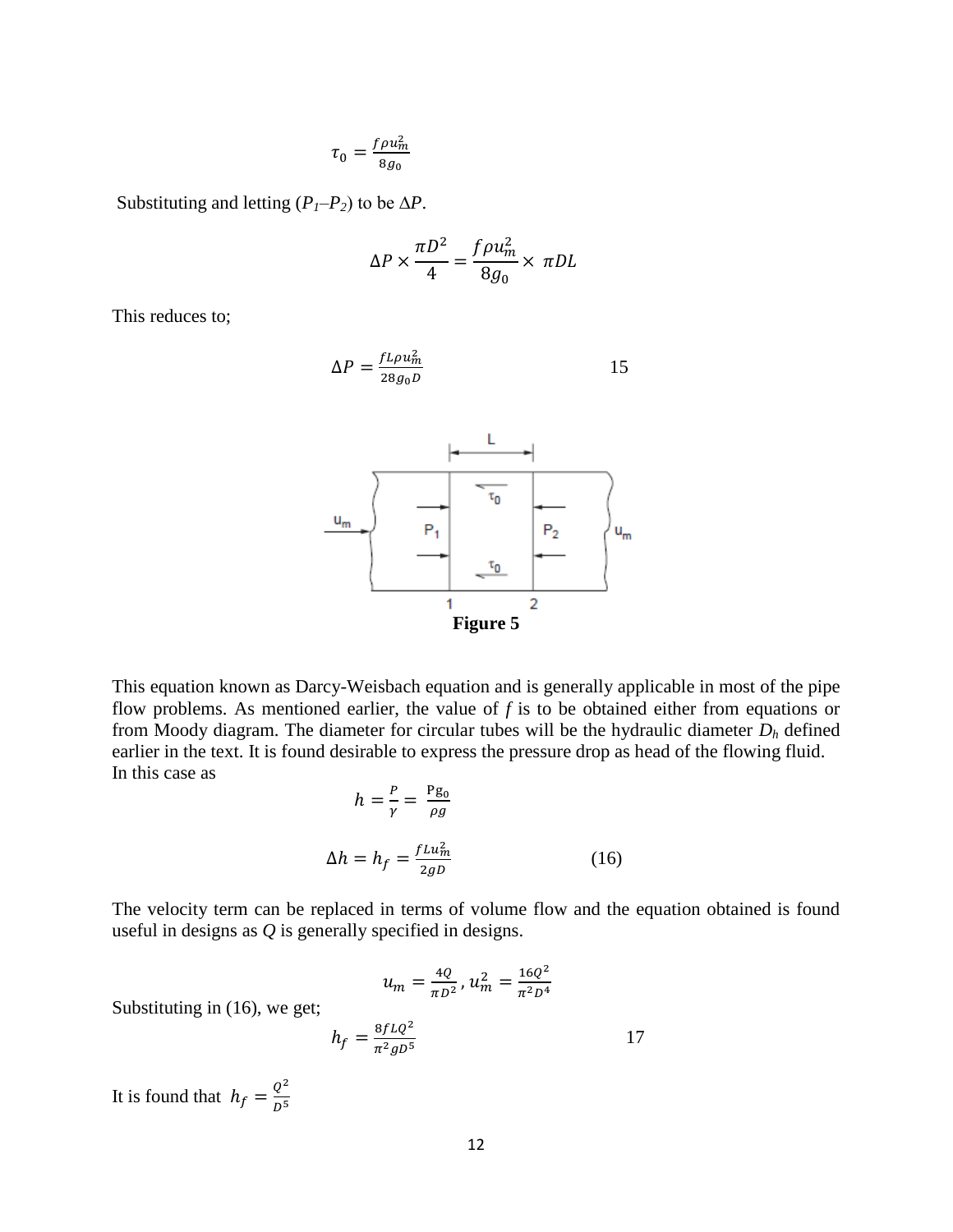$$
\tau_0 = \frac{f\rho u_m^2}{8g_0}
$$

Substituting and letting  $(P_1-P_2)$  to be  $\Delta P$ .

$$
\Delta P \times \frac{\pi D^2}{4} = \frac{f \rho u_m^2}{8g_0} \times \pi DL
$$

This reduces to;

 15  **Figure 5**

This equation known as Darcy-Weisbach equation and is generally applicable in most of the pipe flow problems. As mentioned earlier, the value of *f* is to be obtained either from equations or from Moody diagram. The diameter for circular tubes will be the hydraulic diameter *D<sup>h</sup>* defined earlier in the text. It is found desirable to express the pressure drop as head of the flowing fluid. In this case as

$$
h = \frac{P}{\gamma} = \frac{Pg_0}{\rho g}
$$

$$
\Delta h = h_f = \frac{f L u_m^2}{2g D} \tag{16}
$$

The velocity term can be replaced in terms of volume flow and the equation obtained is found useful in designs as *Q* is generally specified in designs.

$$
u_m = \frac{4Q}{\pi D^2}, u_m^2 = \frac{16Q^2}{\pi^2 D^4}
$$

Substituting in (16), we get;

$$
h_f = \frac{8fLQ^2}{\pi^2 g D^5} \tag{17}
$$

It is found that  $h_f = \frac{Q^2}{R^5}$ D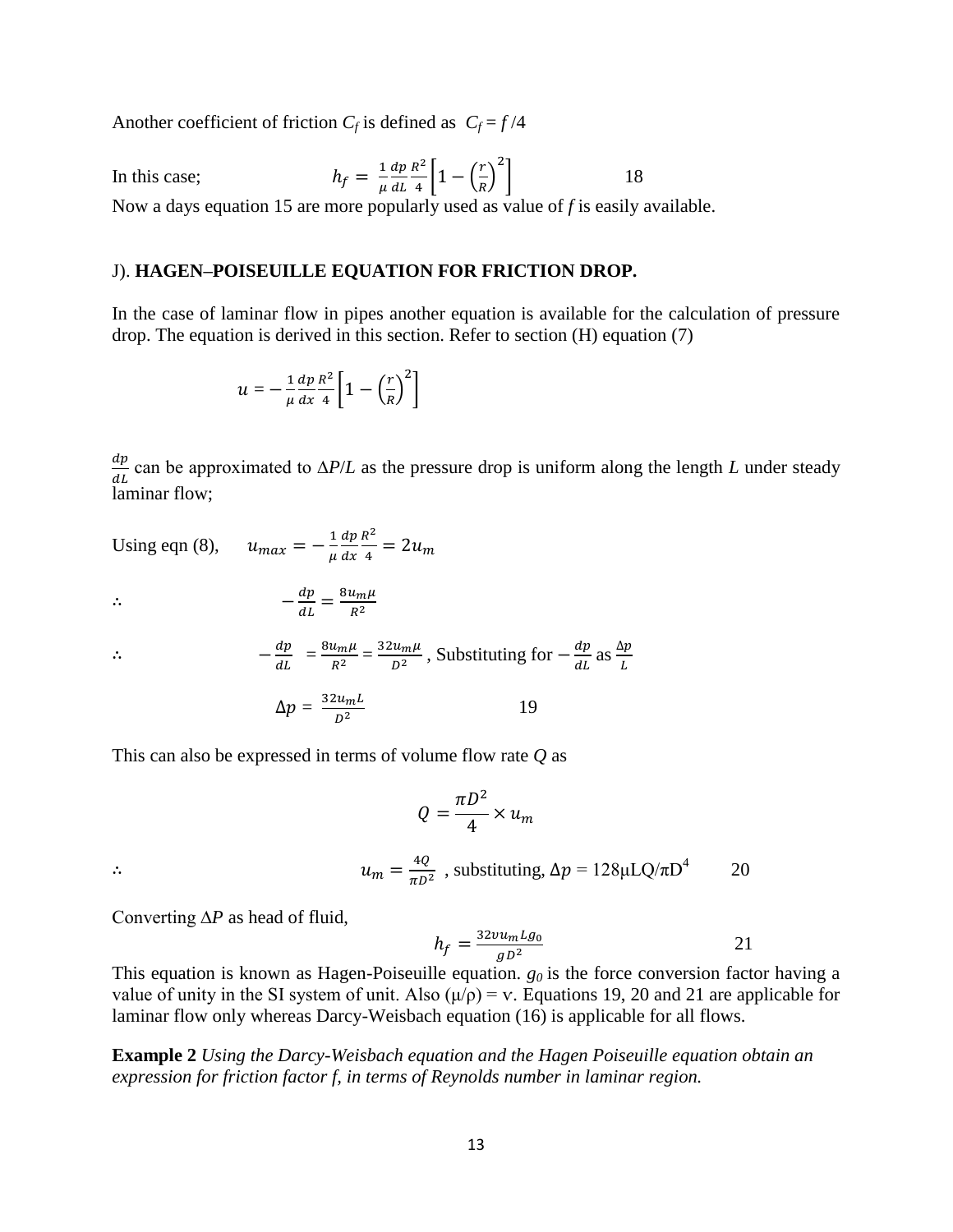Another coefficient of friction  $C_f$  is defined as  $C_f = f/4$ 

In this case; 
$$
h_f = \frac{1}{\mu} \frac{dp}{dt} \frac{R^2}{4} \left[ 1 - \left(\frac{r}{R}\right)^2 \right]
$$
 18

Now a days equation 15 are more popularly used as value of *f* is easily available.

#### J). **HAGEN–POISEUILLE EQUATION FOR FRICTION DROP.**

In the case of laminar flow in pipes another equation is available for the calculation of pressure drop. The equation is derived in this section. Refer to section (H) equation (7)

$$
u=-\frac{1}{\mu}\frac{dp}{dx}\frac{R^2}{4}\bigg[1-\left(\frac{r}{R}\right)^2\bigg]
$$

 $\boldsymbol{d}$  $\frac{dp}{dt}$  can be approximated to  $\Delta P/L$  as the pressure drop is uniform along the length *L* under steady laminar flow;

Using eqn (8), 
$$
u_{max} = -\frac{1}{\mu} \frac{dp}{dx} \frac{R^2}{4} = 2u_m
$$
  
\n  
\n
$$
\therefore \qquad -\frac{dp}{dt} = \frac{8u_m\mu}{R^2}
$$
\n
$$
\therefore \qquad -\frac{dp}{dt} = \frac{8u_m\mu}{R^2} = \frac{32u_m\mu}{D^2}, \text{ Substituting for } -\frac{dp}{dt} \text{ as } \frac{\Delta p}{L}
$$
\n
$$
\Delta p = \frac{32u_mL}{D^2} \qquad 19
$$

This can also be expressed in terms of volume flow rate *Q* as

$$
Q = \frac{\pi D^2}{4} \times u_m
$$
  

$$
u_m = \frac{4Q}{\pi D^2}
$$
, substituting,  $\Delta p = 128 \mu L Q / \pi D^4$  20

Converting ∆*P* as head of fluid,

 $\ddot{\phantom{a}}$  .

$$
h_f = \frac{32vu_m Lg_0}{g^{D^2}} \tag{21}
$$

This equation is known as Hagen-Poiseuille equation. *g0* is the force conversion factor having a value of unity in the SI system of unit. Also  $(\mu/\rho) = v$ . Equations 19, 20 and 21 are applicable for laminar flow only whereas Darcy-Weisbach equation (16) is applicable for all flows.

**Example 2** *Using the Darcy-Weisbach equation and the Hagen Poiseuille equation obtain an expression for friction factor f, in terms of Reynolds number in laminar region.*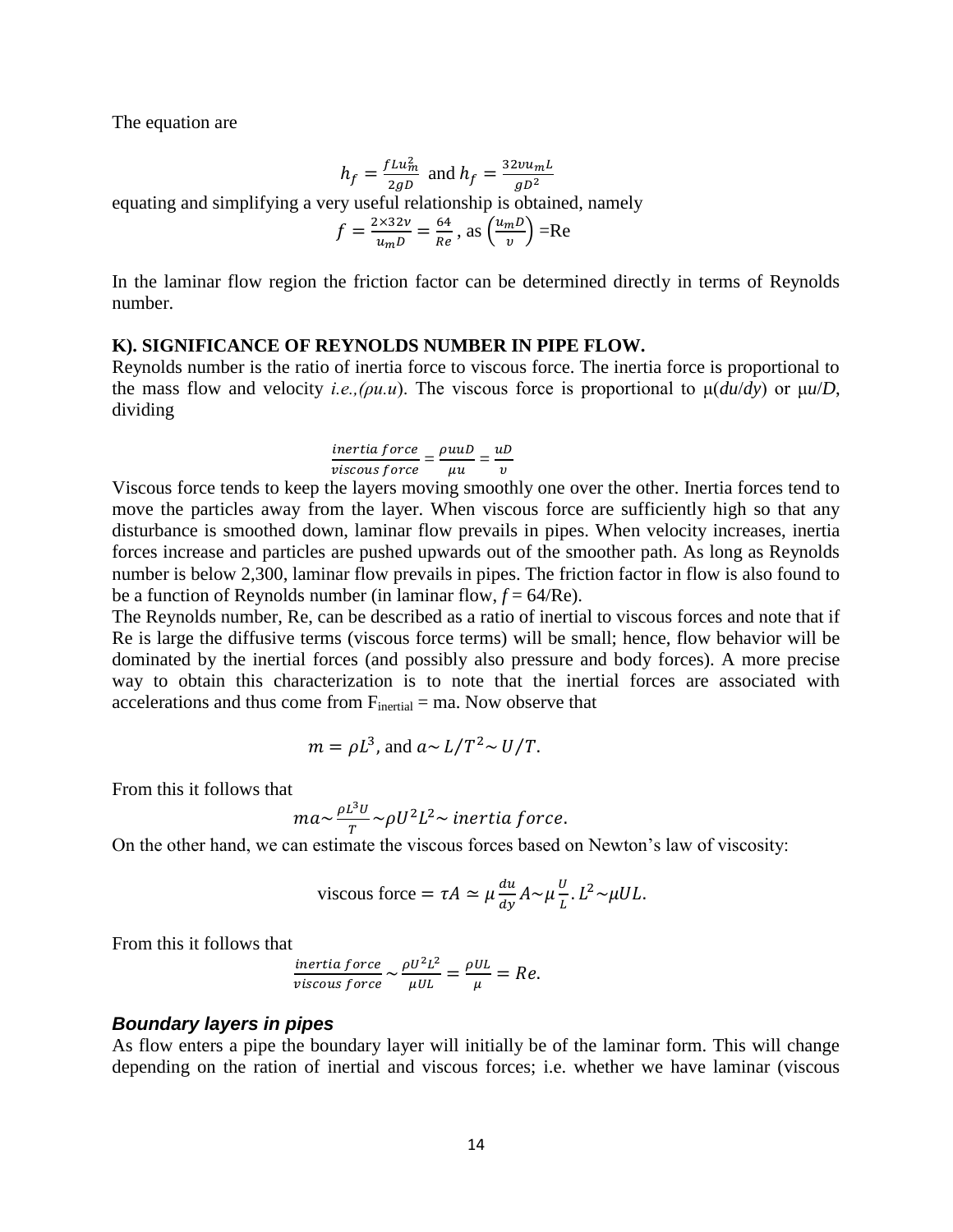The equation are

$$
h_f = \frac{f L u_m^2}{2g D} \text{ and } h_f = \frac{32 v u_m L}{g D^2}
$$

equating and simplifying a very useful relationship is obtained, namely

$$
f = \frac{2 \times 32\nu}{u_m D} = \frac{64}{Re}, \text{ as } \left(\frac{u_m D}{\nu}\right) = \text{Re}
$$

In the laminar flow region the friction factor can be determined directly in terms of Reynolds number.

#### **K). SIGNIFICANCE OF REYNOLDS NUMBER IN PIPE FLOW.**

Reynolds number is the ratio of inertia force to viscous force. The inertia force is proportional to the mass flow and velocity *i.e.,(ρu.u*). The viscous force is proportional to μ(*du*/*dy*) or μ*u*/*D*, dividing

$$
\frac{\text{inertia force}}{\text{viscous force}} = \frac{\rho u u D}{\mu u} = \frac{u D}{v}
$$

Viscous force tends to keep the layers moving smoothly one over the other. Inertia forces tend to move the particles away from the layer. When viscous force are sufficiently high so that any disturbance is smoothed down, laminar flow prevails in pipes. When velocity increases, inertia forces increase and particles are pushed upwards out of the smoother path. As long as Reynolds number is below 2,300, laminar flow prevails in pipes. The friction factor in flow is also found to be a function of Reynolds number (in laminar flow,  $f = 64$ /Re).

The Reynolds number, Re, can be described as a ratio of inertial to viscous forces and note that if Re is large the diffusive terms (viscous force terms) will be small; hence, flow behavior will be dominated by the inertial forces (and possibly also pressure and body forces). A more precise way to obtain this characterization is to note that the inertial forces are associated with accelerations and thus come from  $F<sub>inertial</sub>$  = ma. Now observe that

$$
m = \rho L^3
$$
, and  $a \sim L/T^2 \sim U/T$ .

From this it follows that

$$
ma \sim \frac{\rho L^3 U}{T} \sim \rho U^2 L^2 \sim inertia force.
$$

On the other hand, we can estimate the viscous forces based on Newton's law of viscosity:

viscous force = 
$$
\tau A \simeq \mu \frac{du}{dy} A \sim \mu \frac{U}{L} L^2 \sim \mu U L
$$
.

From this it follows that

$$
\frac{\text{inertia force}}{\text{viscous force}} \sim \frac{\rho U^2 L^2}{\mu U L} = \frac{\rho U L}{\mu} = Re.
$$

#### *Boundary layers in pipes*

As flow enters a pipe the boundary layer will initially be of the laminar form. This will change depending on the ration of inertial and viscous forces; i.e. whether we have laminar (viscous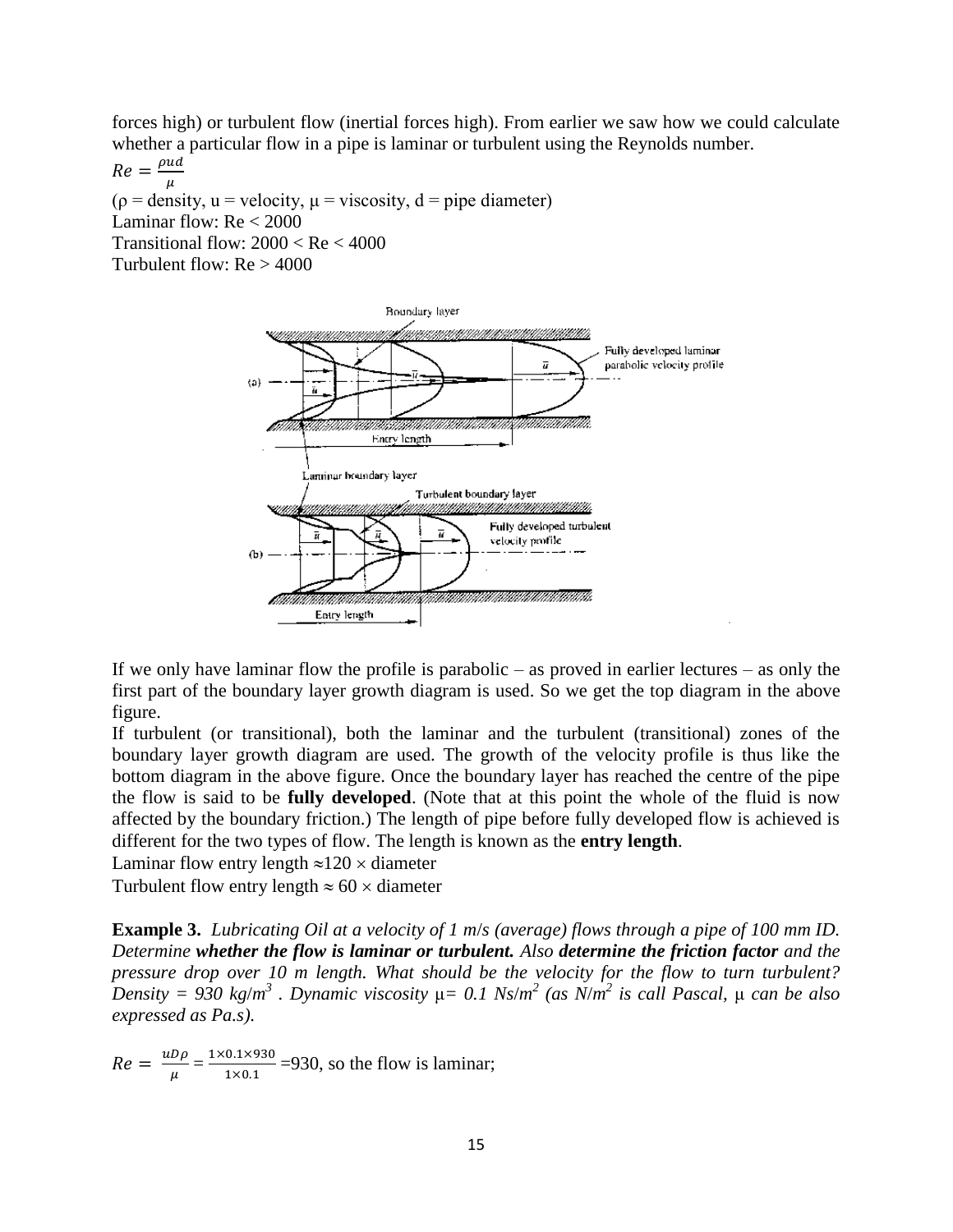forces high) or turbulent flow (inertial forces high). From earlier we saw how we could calculate whether a particular flow in a pipe is laminar or turbulent using the Reynolds number.

 $Re = \frac{\rho}{\rho}$  $\mu$  $(\rho =$  density,  $u =$  velocity,  $\mu =$  viscosity,  $d =$  pipe diameter) Laminar flow: Re < 2000 Transitional flow:  $2000 < Re < 4000$ Turbulent flow: Re > 4000



If we only have laminar flow the profile is parabolic – as proved in earlier lectures – as only the first part of the boundary layer growth diagram is used. So we get the top diagram in the above figure.

If turbulent (or transitional), both the laminar and the turbulent (transitional) zones of the boundary layer growth diagram are used. The growth of the velocity profile is thus like the bottom diagram in the above figure. Once the boundary layer has reached the centre of the pipe the flow is said to be **fully developed**. (Note that at this point the whole of the fluid is now affected by the boundary friction.) The length of pipe before fully developed flow is achieved is different for the two types of flow. The length is known as the **entry length**.

Laminar flow entry length  $\approx$  120  $\times$  diameter

Turbulent flow entry length  $\approx 60 \times$  diameter

**Example 3.** *Lubricating Oil at a velocity of 1 m*/*s (average) flows through a pipe of 100 mm ID. Determine whether the flow is laminar or turbulent. Also determine the friction factor and the pressure drop over 10 m length. What should be the velocity for the flow to turn turbulent?*   $D$ *ensity* = 930 kg/ $m^3$ . Dynamic viscosity  $\mu$  = 0.1 Ns/ $m^2$  (as N/m<sup>2</sup> is call Pascal,  $\mu$  can be also *expressed as Pa.s).*

 $Re = \frac{u}{a}$  $\frac{D\rho}{\mu} = \frac{1}{2}$  $\frac{0.1 \times 930}{1 \times 0.1}$  =930, so the flow is laminar;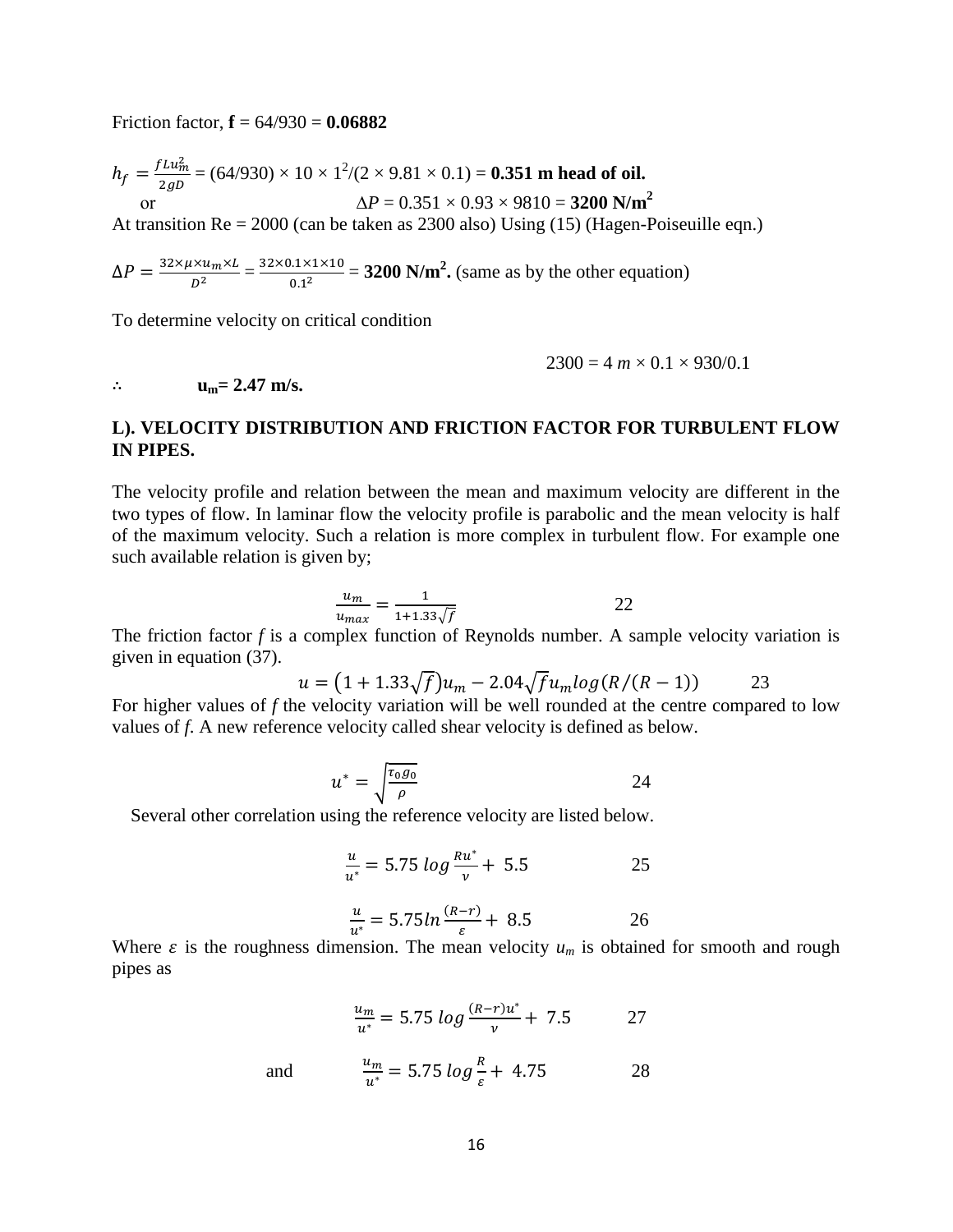Friction factor,  $f = 64/930 = 0.06882$ 

$$
h_f = \frac{f L u_m^2}{2g D} = (64/930) \times 10 \times 1^2 / (2 \times 9.81 \times 0.1) = 0.351 m head of oil.
$$
  
or 
$$
\Delta P = 0.351 \times 0.93 \times 9810 = 3200 N/m2
$$

At transition Re = 2000 (can be taken as 2300 also) Using (15) (Hagen-Poiseuille eqn.)

$$
\Delta P = \frac{32 \times \mu \times u_m \times L}{D^2} = \frac{32 \times 0.1 \times 1 \times 10}{0.1^2} = 3200 \text{ N/m}^2
$$
. (same as by the other equation)

To determine velocity on critical condition

 $u_m = 2.47 \text{ m/s}.$ 

$$
2300 = 4 m \times 0.1 \times 930/0.1
$$

## **L). VELOCITY DISTRIBUTION AND FRICTION FACTOR FOR TURBULENT FLOW IN PIPES.**

The velocity profile and relation between the mean and maximum velocity are different in the two types of flow. In laminar flow the velocity profile is parabolic and the mean velocity is half of the maximum velocity. Such a relation is more complex in turbulent flow. For example one such available relation is given by;

$$
\frac{u_m}{u_{max}} = \frac{1}{1 + 1.33\sqrt{f}}
$$

The friction factor *f* is a complex function of Reynolds number. A sample velocity variation is given in equation (37).

$$
u = (1 + 1.33\sqrt{f})u_m - 2.04\sqrt{f}u_m \log(R/(R-1))
$$
 23

For higher values of f the velocity variation will be well rounded at the centre compared to low values of *f*. A new reference velocity called shear velocity is defined as below.

$$
u^* = \sqrt{\frac{\tau_0 g_0}{\rho}} \qquad \qquad 24
$$

Several other correlation using the reference velocity are listed below.

$$
\frac{u}{u^*} = 5.75 \log \frac{Ru^*}{v} + 5.5 \tag{25}
$$

$$
\frac{u}{u^*} = 5.75 \ln \frac{(R-r)}{\varepsilon} + 8.5 \tag{26}
$$

Where  $\varepsilon$  is the roughness dimension. The mean velocity  $u_m$  is obtained for smooth and rough pipes as

$$
\frac{u_m}{u^*} = 5.75 \log \frac{(R-r)u^*}{v} + 7.5 \qquad 27
$$

$$
\frac{u_m}{u^*} = 5.75 \log \frac{R}{\varepsilon} + 4.75 \qquad 28
$$

and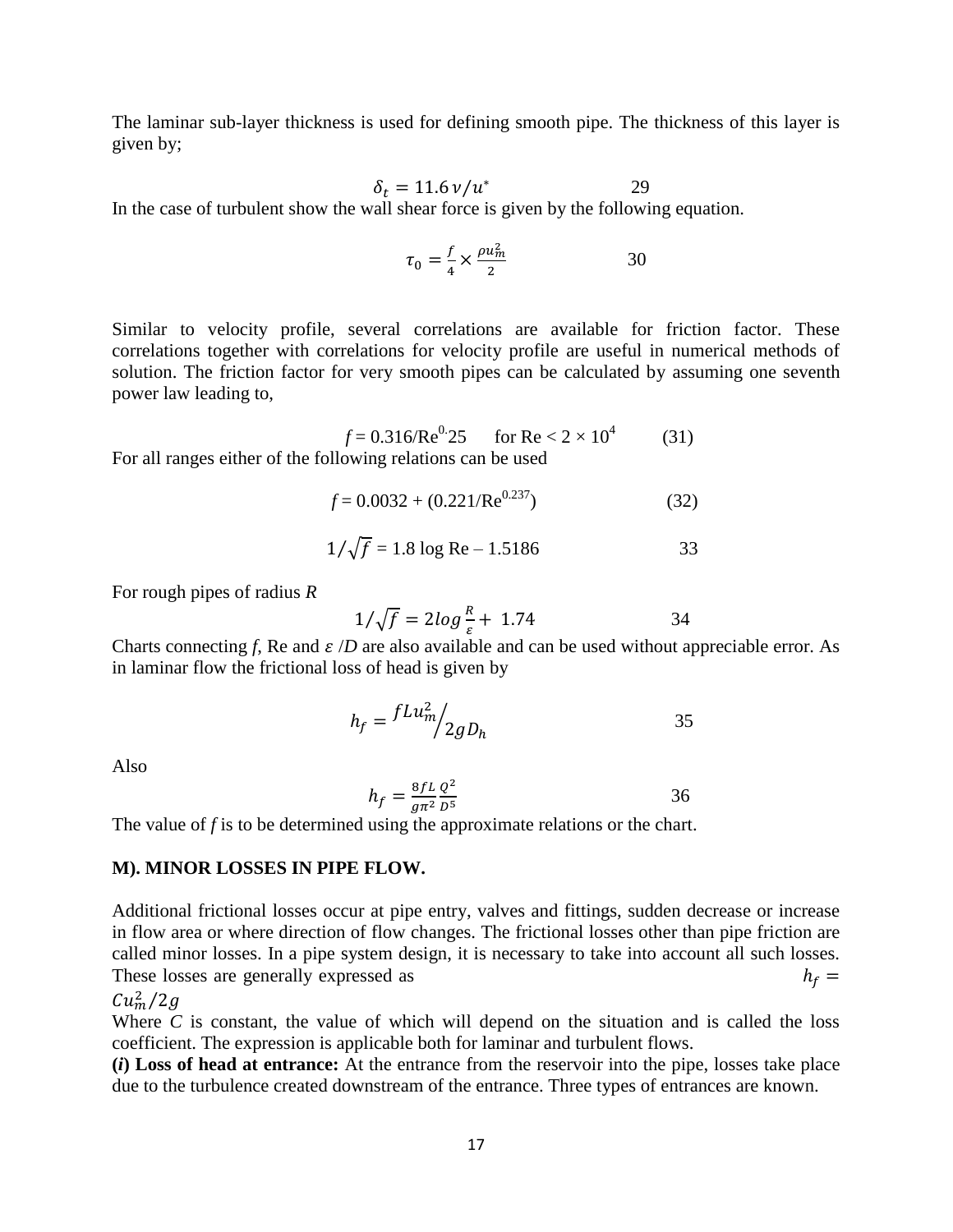The laminar sub-layer thickness is used for defining smooth pipe. The thickness of this layer is given by;

$$
\delta_t = 11.6 \,\nu/u^* \tag{29}
$$

In the case of turbulent show the wall shear force is given by the following equation.

$$
\tau_0 = \frac{f}{4} \times \frac{\rho u_m^2}{2} \tag{30}
$$

Similar to velocity profile, several correlations are available for friction factor. These correlations together with correlations for velocity profile are useful in numerical methods of solution. The friction factor for very smooth pipes can be calculated by assuming one seventh power law leading to,

$$
f = 0.316/\text{Re}^0.25
$$
 for  $\text{Re} < 2 \times 10^4$  (31)  
For all ranges either of the following relations can be used

For all ranges either of the following relations can be used

$$
f = 0.0032 + (0.221/\text{Re}^{0.237})
$$
 (32)

$$
1/\sqrt{f} = 1.8 \log \text{Re} - 1.5186
$$
 33

For rough pipes of radius *R* 

$$
1/\sqrt{f} = 2\log\frac{R}{\varepsilon} + 1.74\tag{34}
$$

Charts connecting *f*, Re and  $\varepsilon$  */D* are also available and can be used without appreciable error. As in laminar flow the frictional loss of head is given by

$$
h_f = \frac{f L u_m^2}{2g D_h} \tag{35}
$$

Also

$$
h_f = \frac{8fL}{g\pi^2} \frac{Q^2}{D^5}
$$
 36

The value of *f* is to be determined using the approximate relations or the chart.

## **M). MINOR LOSSES IN PIPE FLOW.**

Additional frictional losses occur at pipe entry, valves and fittings, sudden decrease or increase in flow area or where direction of flow changes. The frictional losses other than pipe friction are called minor losses. In a pipe system design, it is necessary to take into account all such losses. These losses are generally expressed as  $h_f =$ 

 $Cu_m^2/2$ 

Where *C* is constant, the value of which will depend on the situation and is called the loss coefficient. The expression is applicable both for laminar and turbulent flows.

**(***i***) Loss of head at entrance:** At the entrance from the reservoir into the pipe, losses take place due to the turbulence created downstream of the entrance. Three types of entrances are known.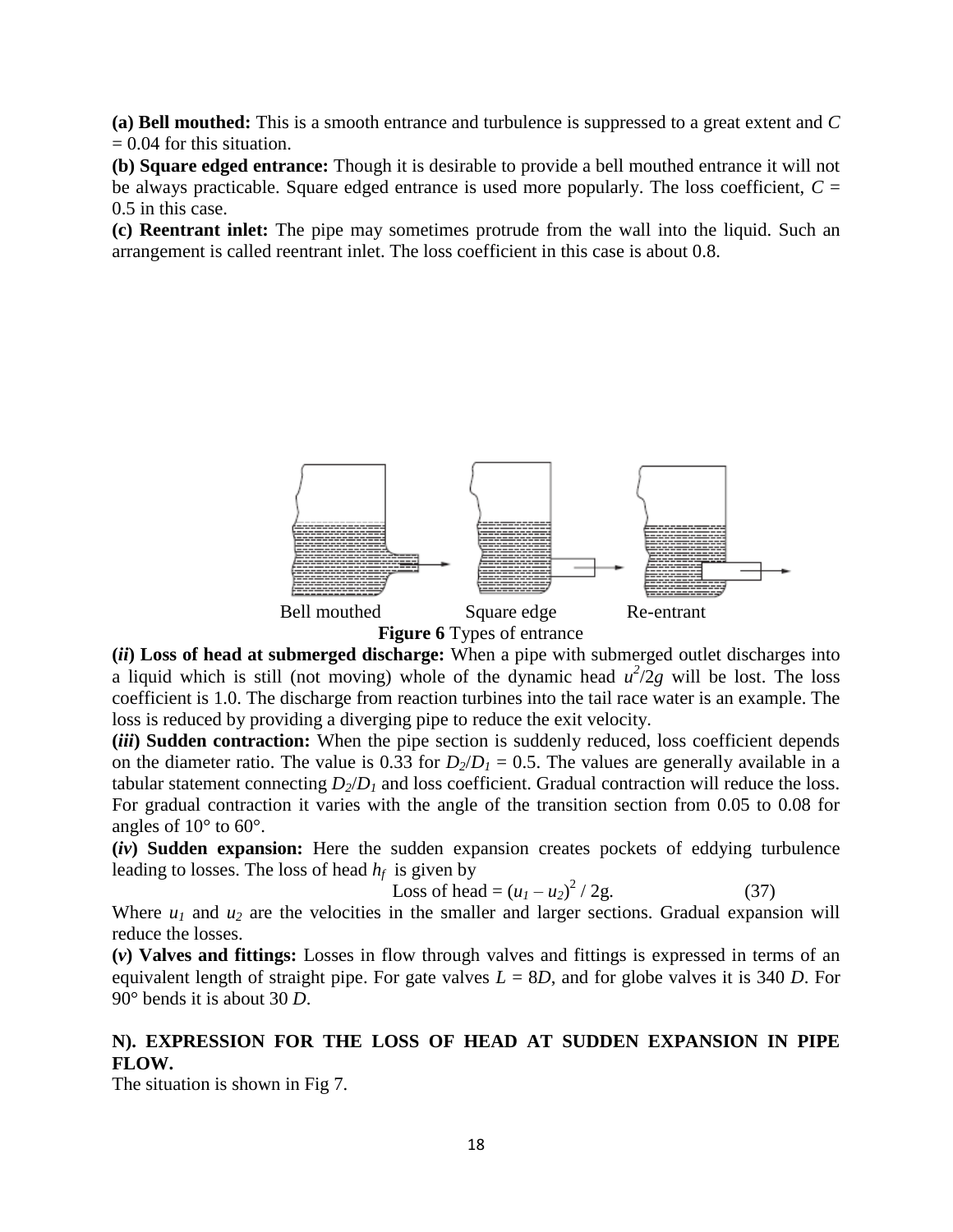**(a) Bell mouthed:** This is a smooth entrance and turbulence is suppressed to a great extent and *C*   $= 0.04$  for this situation.

**(b) Square edged entrance:** Though it is desirable to provide a bell mouthed entrance it will not be always practicable. Square edged entrance is used more popularly. The loss coefficient, *C* = 0.5 in this case.

**(c) Reentrant inlet:** The pipe may sometimes protrude from the wall into the liquid. Such an arrangement is called reentrant inlet. The loss coefficient in this case is about 0.8.



**Figure 6** Types of entrance

**(***ii***) Loss of head at submerged discharge:** When a pipe with submerged outlet discharges into a liquid which is still (not moving) whole of the dynamic head  $u^2/2g$  will be lost. The loss coefficient is 1.0. The discharge from reaction turbines into the tail race water is an example. The loss is reduced by providing a diverging pipe to reduce the exit velocity.

**(***iii***) Sudden contraction:** When the pipe section is suddenly reduced, loss coefficient depends on the diameter ratio. The value is 0.33 for  $D_2/D_1 = 0.5$ . The values are generally available in a tabular statement connecting  $D_2/D_1$  and loss coefficient. Gradual contraction will reduce the loss. For gradual contraction it varies with the angle of the transition section from 0.05 to 0.08 for angles of  $10^{\circ}$  to  $60^{\circ}$ .

**(***iv***) Sudden expansion:** Here the sudden expansion creates pockets of eddying turbulence leading to losses. The loss of head *h<sup>f</sup>* is given by

$$
Loss of head = (u1 - u2)2 / 2g.
$$
 (37)

Where  $u_1$  and  $u_2$  are the velocities in the smaller and larger sections. Gradual expansion will reduce the losses.

**(***v***) Valves and fittings:** Losses in flow through valves and fittings is expressed in terms of an equivalent length of straight pipe. For gate valves  $L = 8D$ , and for globe valves it is 340 *D*. For 90° bends it is about 30 *D*.

# **N). EXPRESSION FOR THE LOSS OF HEAD AT SUDDEN EXPANSION IN PIPE FLOW.**

The situation is shown in Fig 7.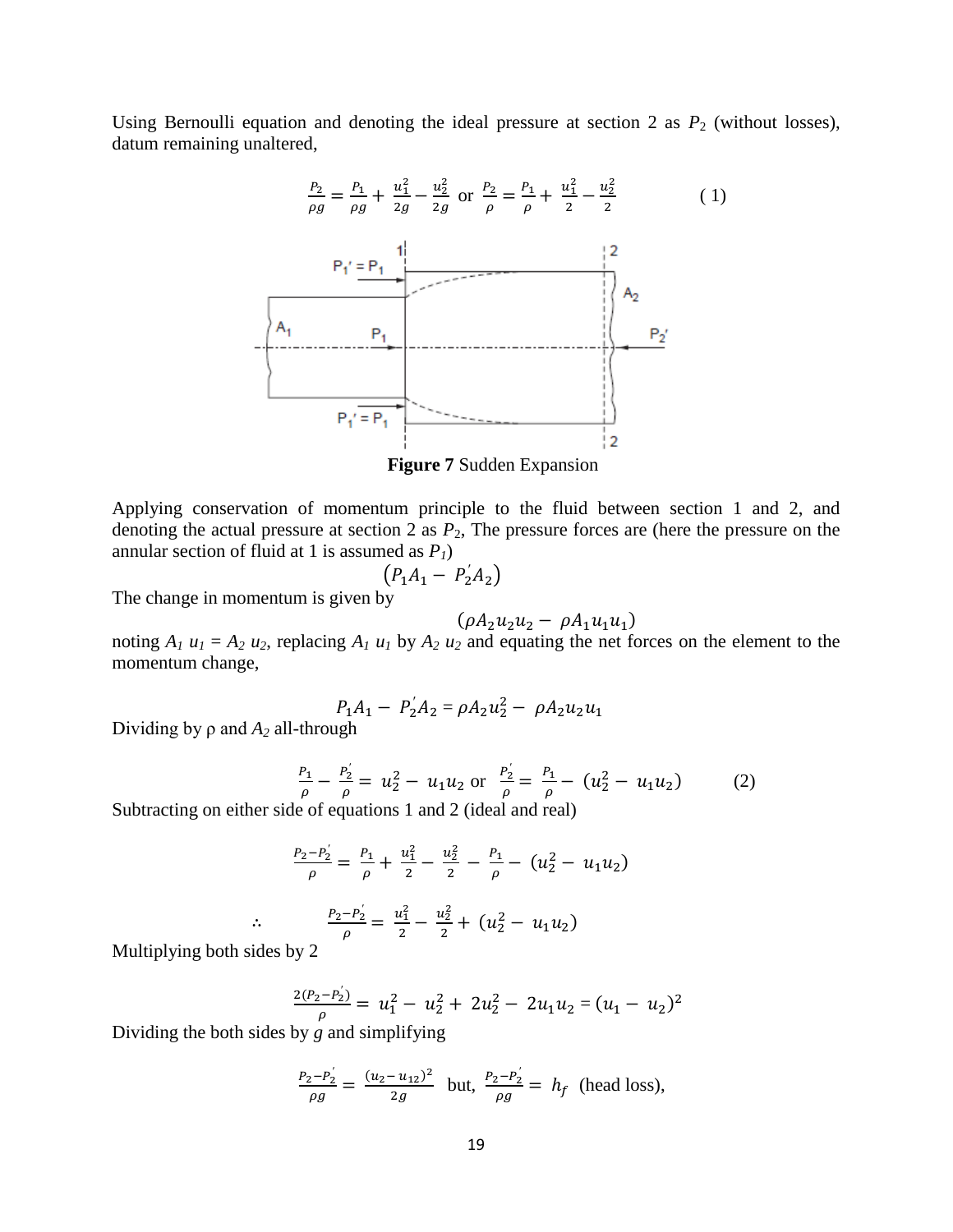Using Bernoulli equation and denoting the ideal pressure at section 2 as  $P_2$  (without losses), datum remaining unaltered,



 **Figure 7** Sudden Expansion

Applying conservation of momentum principle to the fluid between section 1 and 2, and denoting the actual pressure at section 2 as *P*2, The pressure forces are (here the pressure on the annular section of fluid at 1 is assumed as *P1*)

$$
(P_1A_1-P_2'A_2)
$$

The change in momentum is given by

$$
(\rho A_2 u_2 u_2 - \rho A_1 u_1 u_1)
$$

noting  $A_1 u_1 = A_2 u_2$ , replacing  $A_1 u_1$  by  $A_2 u_2$  and equating the net forces on the element to the momentum change,

$$
P_1A_1 - P_2A_2 = \rho A_2 u_2^2 - \rho A_2 u_2 u_1
$$

Dividing by ρ and *A<sup>2</sup>* all-through

$$
\frac{p_1}{\rho} - \frac{p_2}{\rho} = u_2^2 - u_1 u_2 \text{ or } \frac{p_2}{\rho} = \frac{p_1}{\rho} - (u_2^2 - u_1 u_2) \tag{2}
$$

Subtracting on either side of equations 1 and 2 (ideal and real)

$$
\frac{P_2 - P_2'}{\rho} = \frac{P_1}{\rho} + \frac{u_1^2}{2} - \frac{u_2^2}{2} - \frac{P_1}{\rho} - (u_2^2 - u_1 u_2)
$$

$$
\frac{P_2 - P_2'}{\rho} = \frac{u_1^2}{2} - \frac{u_2^2}{2} + (u_2^2 - u_1 u_2)
$$
by 2

Multiplying both sides by 2

$$
\frac{2(P_2 - P_2)}{\rho} = u_1^2 - u_2^2 + 2u_2^2 - 2u_1u_2 = (u_1 - u_2)^2
$$

Dividing the both sides by *g* and simplifying

 $\ddot{\cdot}$ 

$$
\frac{P_2 - P_2'}{\rho g} = \frac{(u_2 - u_{12})^2}{2g} \text{ but, } \frac{P_2 - P_2'}{\rho g} = h_f \text{ (head loss)},
$$